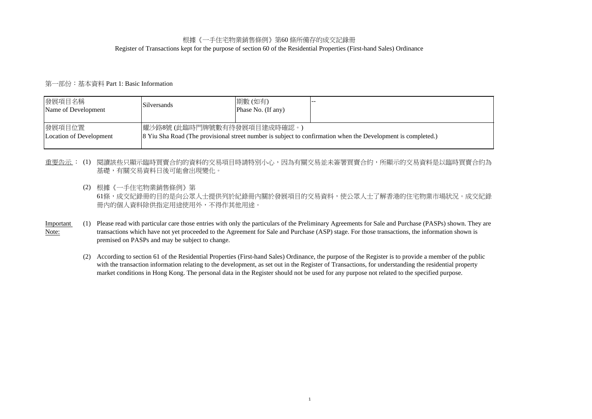## Register of Transactions kept for the purpose of section 60 of the Residential Properties (First-hand Sales) Ordinance 根據《一手住宅物業銷售條例》第60 條所備存的成交記錄冊

# 第一部份:基本資料 Part 1: Basic Information

| 發展項目名稱<br>Name of Development     | <b>Silversands</b>        | 期數(如有)<br>Phase No. (If any) |                                                                                                              |
|-----------------------------------|---------------------------|------------------------------|--------------------------------------------------------------------------------------------------------------|
| 發展項目位置<br>Location of Development | 耀沙路8號(此臨時門牌號數有待發展項目建成時確認。 |                              | 8 Yiu Sha Road (The provisional street number is subject to confirmation when the Development is completed.) |

# 重<u>要告示</u>:(1) 閱讀該些只顯示臨時買賣合約的資料的交易項目時請特別小心,因為有關交易並未簽署買賣合約,所顯示的交易資料是以臨時買賣合約為 基礎,有關交易資料日後可能會出現變化。

(2) 根據《一手住宅物業銷售條例》第

61條,成交紀錄冊的目的是向公眾人士提供列於紀錄冊內關於發展項目的交易資料,使公眾人士了解香港的住宅物業市場狀況。成交紀錄 冊內的個人資料除供指定用途使用外,不得作其他用途。

- (1) Please read with particular care those entries with only the particulars of the Preliminary Agreements for Sale and Purchase (PASPs) shown. They are transactions which have not yet proceeded to the Agreement for Sale and Purchase (ASP) stage. For those transactions, the information shown is premised on PASPs and may be subject to change. Important Note:
	- (2) According to section 61 of the Residential Properties (First-hand Sales) Ordinance, the purpose of the Register is to provide a member of the public with the transaction information relating to the development, as set out in the Register of Transactions, for understanding the residential property market conditions in Hong Kong. The personal data in the Register should not be used for any purpose not related to the specified purpose.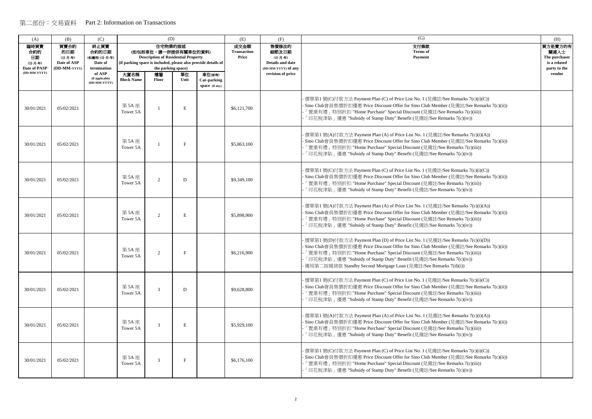| (A)                                          | (B)                                                   | (C)                                                     |                           | (D)                                                                                                 |            |                                                               | (E)                                 | (F)                                                                         | (G)                                                                                                                                                                                                                                                                                                                                                                                                   | (H)                                                              |
|----------------------------------------------|-------------------------------------------------------|---------------------------------------------------------|---------------------------|-----------------------------------------------------------------------------------------------------|------------|---------------------------------------------------------------|-------------------------------------|-----------------------------------------------------------------------------|-------------------------------------------------------------------------------------------------------------------------------------------------------------------------------------------------------------------------------------------------------------------------------------------------------------------------------------------------------------------------------------------------------|------------------------------------------------------------------|
| 臨時買賣<br>合約的<br>日期<br>(日-月-年)<br>Date of PASP | 買賣合約<br>的日期<br>(日-月-年)<br>Date of ASP<br>(DD-MM-YYYY) | 終止買賣<br>合約的日期<br>(如適用)(日-月-年)<br>Date of<br>termination |                           | 住宅物業的描述<br>(如包括車位,請一併提供有關車位的資料)<br><b>Description of Residential Property</b><br>the parking space) |            | (if parking space is included, please also provide details of | 成交金額<br><b>Transaction</b><br>Price | 售價修改的<br>細節及日期<br>(日-月-年)<br><b>Details and date</b><br>(DD-MM-YYYY) of any | 支付條款<br><b>Terms</b> of<br>Payment                                                                                                                                                                                                                                                                                                                                                                    | 買方是賣方的有<br>關連人士<br>The purchaser<br>is a related<br>party to the |
| (DD-MM-YYYY)                                 |                                                       | of ASP<br>(if applicable)<br>(DD-MM-YYYY)               | 大廈名稱<br><b>Block Name</b> | 樓層<br><b>Floor</b>                                                                                  | 單位<br>Unit | 車位(如有)<br>Car-parking<br>space (if any)                       |                                     | revision of price                                                           |                                                                                                                                                                                                                                                                                                                                                                                                       | vendor                                                           |
| 30/01/2021                                   | 05/02/2021                                            |                                                         | 第 5A 座<br>Tower 5A        |                                                                                                     | E          |                                                               | \$6,121,700                         |                                                                             | - 價單第1 號(C)付款方法 Payment Plan (C) of Price List No. 1 (見備註/See Remarks 7(c)(i)(C))<br>- Sino Club會員售價折扣優惠 Price Discount Offer for Sino Club Member (見備註/See Remarks 7(c)(ii))<br>「置業有禮」特別折扣 "Home Purchase" Special Discount (見備註/See Remarks 7(c)(iii))<br>「印花稅津貼」優惠 "Subsidy of Stamp Duty" Benefit (見備註/See Remarks 7(c)(iv))                                                                      |                                                                  |
| 30/01/2021                                   | 05/02/2021                                            |                                                         | 第 5A 座<br>Tower 5A        |                                                                                                     | F          |                                                               | \$5,863,100                         |                                                                             | - 價單第1 號(A)付款方法 Payment Plan (A) of Price List No. 1 (見備註/See Remarks 7(c)(i)(A))<br>- Sino Club會員售價折扣優惠 Price Discount Offer for Sino Club Member (見備註/See Remarks 7(c)(ii))<br>「置業有禮」特別折扣 "Home Purchase" Special Discount (見備註/See Remarks 7(c)(iii))<br>「印花稅津貼」優惠 "Subsidy of Stamp Duty" Benefit (見備註/See Remarks 7(c)(iv))                                                                      |                                                                  |
| 30/01/2021                                   | 05/02/2021                                            |                                                         | 第 5A 座<br>Tower 5A        | $\mathcal{L}$                                                                                       | D          |                                                               | \$9,349,100                         |                                                                             | · 價單第1 號(C)付款方法 Payment Plan (C) of Price List No. 1 (見備註/See Remarks 7(c)(i)(C))<br>- Sino Club會員售價折扣優惠 Price Discount Offer for Sino Club Member (見備註/See Remarks 7(c)(ii))<br>「置業有禮」特別折扣 "Home Purchase" Special Discount (見備註/See Remarks 7(c)(iii))<br>「印花稅津貼」優惠 "Subsidy of Stamp Duty" Benefit (見備註/See Remarks 7(c)(iv))                                                                      |                                                                  |
| 30/01/2021                                   | 05/02/2021                                            |                                                         | 第 5A 座<br>Tower 5A        | $\mathcal{D}$                                                                                       | E          |                                                               | \$5,898,900                         |                                                                             | - 價單第1 號(A)付款方法 Payment Plan (A) of Price List No. 1 (見備註/See Remarks 7(c)(i)(A))<br>- Sino Club會員售價折扣優惠 Price Discount Offer for Sino Club Member (見備註/See Remarks 7(c)(ii))<br>「置業有禮」特別折扣 "Home Purchase" Special Discount (見備註/See Remarks 7(c)(iii))<br>「印花稅津貼」優惠 "Subsidy of Stamp Duty" Benefit (見備註/See Remarks 7(c)(iv))                                                                      |                                                                  |
| 30/01/2021                                   | 05/02/2021                                            |                                                         | 第 5A 座<br>Tower 5A        | 2                                                                                                   | F          |                                                               | \$6,216,900                         |                                                                             | · 價單第1 號(D)付款方法 Payment Plan (D) of Price List No. 1 (見備註/See Remarks 7(c)(i)(D))<br>- Sino Club會員售價折扣優惠 Price Discount Offer for Sino Club Member (見備註/See Remarks 7(c)(ii))<br>「置業有禮」特別折扣 "Home Purchase" Special Discount (見備註/See Remarks 7(c)(iii))<br>「印花稅津貼」優惠 "Subsidy of Stamp Duty" Benefit (見備註/See Remarks 7(c)(iv))<br>- 備用第二按揭貸款 Standby Second Mortgage Loan (見備註/See Remarks 7(d)(i)) |                                                                  |
| 30/01/2021                                   | 05/02/2021                                            |                                                         | 第 5A 座<br>Tower 5A        | 3                                                                                                   | D          |                                                               | \$9,628,800                         |                                                                             | - 價單第1 號(C)付款方法 Payment Plan (C) of Price List No. 1 (見備註/See Remarks 7(c)(i)(C))<br>- Sino Club會員售價折扣優惠 Price Discount Offer for Sino Club Member (見備註/See Remarks 7(c)(ii))<br>「置業有禮」特別折扣 "Home Purchase" Special Discount (見備註/See Remarks 7(c)(iii))<br>「印花稅津貼」優惠 "Subsidy of Stamp Duty" Benefit (見備註/See Remarks 7(c)(iv))                                                                      |                                                                  |
| 30/01/2021                                   | 05/02/2021                                            |                                                         | 第 5A 座<br>Tower 5A        | $\mathcal{R}$                                                                                       | E          |                                                               | \$5,929,100                         |                                                                             | - 價單第1號(A)付款方法 Payment Plan (A) of Price List No. 1 (見備註/See Remarks 7(c)(i)(A))<br>- Sino Club會員售價折扣優惠 Price Discount Offer for Sino Club Member (見備註/See Remarks 7(c)(ii))<br>「置業有禮」特別折扣 "Home Purchase" Special Discount (見備註/See Remarks 7(c)(iii))<br>「印花稅津貼」優惠 "Subsidy of Stamp Duty" Benefit (見備註/See Remarks 7(c)(iv))                                                                       |                                                                  |
| 30/01/2021                                   | 05/02/2021                                            |                                                         | 第 5A 座<br>Tower 5A        | $\mathcal{R}$                                                                                       | F          |                                                               | \$6,176,100                         |                                                                             | - 價單第1 號(C)付款方法 Payment Plan (C) of Price List No. 1 (見備註/See Remarks 7(c)(i)(C))<br>- Sino Club會員售價折扣優惠 Price Discount Offer for Sino Club Member (見備註/See Remarks 7(c)(ii))<br>「置業有禮」特別折扣 "Home Purchase" Special Discount (見備註/See Remarks 7(c)(iii))<br>「印花稅津貼」優惠 "Subsidy of Stamp Duty" Benefit (見備註/See Remarks 7(c)(iv))                                                                      |                                                                  |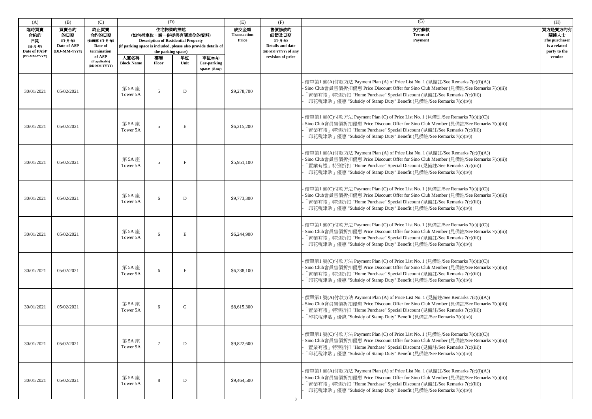| (A)                                                 | (B)                                                   | (C)                                                     |                           | (D)                                                                                                 |              |                                                               | (E)                                 | (F)                                                                         | (G)                                                                                                                                                                                                                                                                                                                         | (H)                                                              |
|-----------------------------------------------------|-------------------------------------------------------|---------------------------------------------------------|---------------------------|-----------------------------------------------------------------------------------------------------|--------------|---------------------------------------------------------------|-------------------------------------|-----------------------------------------------------------------------------|-----------------------------------------------------------------------------------------------------------------------------------------------------------------------------------------------------------------------------------------------------------------------------------------------------------------------------|------------------------------------------------------------------|
| 臨時買賣<br>合約的<br>日期<br>(日-月-年)<br><b>Date of PASP</b> | 買賣合約<br>的日期<br>(日-月-年)<br>Date of ASP<br>(DD-MM-YYYY) | 終止買賣<br>合約的日期<br>(如適用)(日-月-年)<br>Date of<br>termination |                           | 住宅物業的描述<br>(如包括車位,請一併提供有關車位的資料)<br><b>Description of Residential Property</b><br>the parking space) |              | (if parking space is included, please also provide details of | 成交金額<br><b>Transaction</b><br>Price | 售價修改的<br>細節及日期<br>(日-月-年)<br><b>Details and date</b><br>(DD-MM-YYYY) of any | 支付條款<br><b>Terms</b> of<br>Payment                                                                                                                                                                                                                                                                                          | 買方是賣方的有<br>關連人士<br>The purchaser<br>is a related<br>party to the |
| (DD-MM-YYYY)                                        |                                                       | of ASP<br>(if applicable)<br>(DD-MM-YYYY)               | 大廈名稱<br><b>Block Name</b> | 樓層<br><b>Floor</b>                                                                                  | 單位<br>Unit   | 車位(如有)<br>Car-parking<br>space (if any)                       |                                     | revision of price                                                           |                                                                                                                                                                                                                                                                                                                             | vendor                                                           |
| 30/01/2021                                          | 05/02/2021                                            |                                                         | 第 5A 座<br>Tower 5A        | $\sim$                                                                                              | D            |                                                               | \$9,278,700                         |                                                                             | 價單第1號(A)付款方法 Payment Plan (A) of Price List No. 1 (見備註/See Remarks 7(c)(i)(A))<br>Sino Club會員售價折扣優惠 Price Discount Offer for Sino Club Member (見備註/See Remarks 7(c)(ii))<br>「置業有禮」特別折扣 "Home Purchase" Special Discount (見備註/See Remarks 7(c)(iii))<br>「印花稅津貼」優惠 "Subsidy of Stamp Duty" Benefit (見備註/See Remarks 7(c)(iv)) |                                                                  |
| 30/01/2021                                          | 05/02/2021                                            |                                                         | 第 5A 座<br>Tower 5A        | $\overline{5}$                                                                                      | E            |                                                               | \$6,215,200                         |                                                                             | 價單第1號(C)付款方法 Payment Plan (C) of Price List No. 1 (見備註/See Remarks 7(c)(i)(C))<br>Sino Club會員售價折扣優惠 Price Discount Offer for Sino Club Member (見備註/See Remarks 7(c)(ii))<br>「置業有禮」特別折扣 "Home Purchase" Special Discount (見備註/See Remarks 7(c)(iii))<br>「印花稅津貼」優惠 "Subsidy of Stamp Duty" Benefit (見備註/See Remarks 7(c)(iv)) |                                                                  |
| 30/01/2021                                          | 05/02/2021                                            |                                                         | 第 5A 座<br>Tower 5A        | 5                                                                                                   | $_{\rm F}$   |                                                               | \$5,951,100                         |                                                                             | 便單第1號(A)付款方法 Payment Plan (A) of Price List No. 1 (見備註/See Remarks 7(c)(i)(A))<br>Sino Club會員售價折扣優惠 Price Discount Offer for Sino Club Member (見備註/See Remarks 7(c)(ii))<br>「置業有禮」特別折扣 "Home Purchase" Special Discount (見備註/See Remarks 7(c)(iii))<br>「印花稅津貼」優惠 "Subsidy of Stamp Duty" Benefit (見備註/See Remarks 7(c)(iv)) |                                                                  |
| 30/01/2021                                          | 05/02/2021                                            |                                                         | 第5A座<br>Tower 5A          | 6                                                                                                   | D            |                                                               | \$9,773,300                         |                                                                             | 價單第1號(C)付款方法 Payment Plan (C) of Price List No. 1 (見備註/See Remarks 7(c)(i)(C))<br>Sino Club會員售價折扣優惠 Price Discount Offer for Sino Club Member (見備註/See Remarks 7(c)(ii))<br>「置業有禮」特別折扣 "Home Purchase" Special Discount (見備註/See Remarks 7(c)(iii))<br>「印花稅津貼」優惠 "Subsidy of Stamp Duty" Benefit (見備註/See Remarks 7(c)(iv)) |                                                                  |
| 30/01/2021                                          | 05/02/2021                                            |                                                         | 第 5A 座<br>Tower 5A        | 6                                                                                                   | E            |                                                               | \$6,244,900                         |                                                                             | 便單第1號(C)付款方法 Payment Plan (C) of Price List No. 1 (見備註/See Remarks 7(c)(i)(C))<br>Sino Club會員售價折扣優惠 Price Discount Offer for Sino Club Member (見備註/See Remarks 7(c)(ii))<br>「置業有禮」特別折扣 "Home Purchase" Special Discount (見備註/See Remarks 7(c)(iii))<br>「印花稅津貼」優惠 "Subsidy of Stamp Duty" Benefit (見備註/See Remarks 7(c)(iv)) |                                                                  |
| 30/01/2021                                          | 05/02/2021                                            |                                                         | 第 5A 座<br>Tower 5A        | 6                                                                                                   | $\mathbf{F}$ |                                                               | \$6,238,100                         |                                                                             | 價單第1號(C)付款方法 Payment Plan (C) of Price List No. 1 (見備註/See Remarks 7(c)(i)(C))<br>Sino Club會員售價折扣優惠 Price Discount Offer for Sino Club Member (見備註/See Remarks 7(c)(ii))<br>「置業有禮」特別折扣 "Home Purchase" Special Discount (見備註/See Remarks 7(c)(iii))<br>「印花稅津貼」優惠 "Subsidy of Stamp Duty" Benefit (見備註/See Remarks 7(c)(iv)) |                                                                  |
| 30/01/2021                                          | 05/02/2021                                            |                                                         | 第 5A 座<br>Tower 5A        | 6                                                                                                   | G            |                                                               | \$8,615,300                         |                                                                             | 價單第1號(A)付款方法 Payment Plan (A) of Price List No. 1 (見備註/See Remarks 7(c)(i)(A))<br>Sino Club會員售價折扣優惠 Price Discount Offer for Sino Club Member (見備註/See Remarks 7(c)(ii))<br>「置業有禮」特別折扣 "Home Purchase" Special Discount (見備註/See Remarks 7(c)(iii))<br>「印花稅津貼」優惠 "Subsidy of Stamp Duty" Benefit (見備註/See Remarks 7(c)(iv)) |                                                                  |
| 30/01/2021                                          | 05/02/2021                                            |                                                         | 第 5A 座<br>Tower 5A        | $\overline{7}$                                                                                      | D            |                                                               | \$9,822,600                         |                                                                             | 便單第1號(C)付款方法 Payment Plan (C) of Price List No. 1 (見備註/See Remarks 7(c)(i)(C))<br>Sino Club會員售價折扣優惠 Price Discount Offer for Sino Club Member (見備註/See Remarks 7(c)(ii))<br>「置業有禮」特別折扣 "Home Purchase" Special Discount (見備註/See Remarks 7(c)(iii))<br>「印花稅津貼」優惠 "Subsidy of Stamp Duty" Benefit (見備註/See Remarks 7(c)(iv)) |                                                                  |
| 30/01/2021                                          | 05/02/2021                                            |                                                         | 第 5A 座<br>Tower 5A        | 8                                                                                                   | D            |                                                               | \$9,464,500                         |                                                                             | 便單第1號(A)付款方法 Payment Plan (A) of Price List No. 1 (見備註/See Remarks 7(c)(i)(A))<br>Sino Club會員售價折扣優惠 Price Discount Offer for Sino Club Member (見備註/See Remarks 7(c)(ii))<br>「置業有禮」特別折扣 "Home Purchase" Special Discount (見備註/See Remarks 7(c)(iii))<br>「印花稅津貼」優惠 "Subsidy of Stamp Duty" Benefit (見備註/See Remarks 7(c)(iv)) |                                                                  |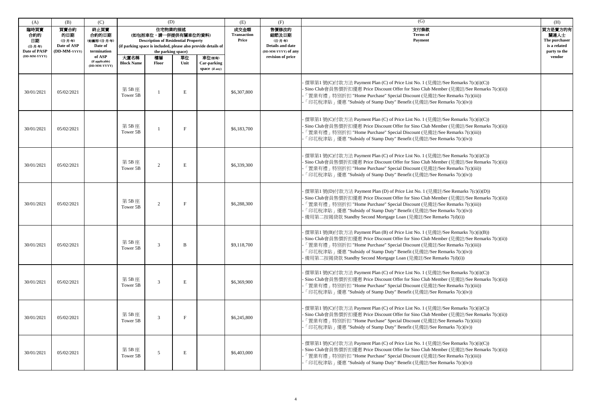| (A)                                                                 | (B)                                                   | (C)                                                                                  |                           | (D)                                                                                                                                                                                        |            |                       | (E)                                 | (F)                                                                                       | (G)                                                                                                                                                                                                                                                                                                                                                                                              | (H)                                                                        |
|---------------------------------------------------------------------|-------------------------------------------------------|--------------------------------------------------------------------------------------|---------------------------|--------------------------------------------------------------------------------------------------------------------------------------------------------------------------------------------|------------|-----------------------|-------------------------------------|-------------------------------------------------------------------------------------------|--------------------------------------------------------------------------------------------------------------------------------------------------------------------------------------------------------------------------------------------------------------------------------------------------------------------------------------------------------------------------------------------------|----------------------------------------------------------------------------|
| 臨時買賣<br>合約的<br>日期<br>(日-月-年)<br><b>Date of PASP</b><br>(DD-MM-YYYY) | 買賣合約<br>的日期<br>(日-月-年)<br>Date of ASP<br>(DD-MM-YYYY) | 終止買賣<br>合約的日期<br>(如適用)(日-月-年)<br>Date of<br>termination<br>of ASP<br>(if applicable) | 大廈名稱<br><b>Block Name</b> | 住宅物業的描述<br>(如包括車位,請一併提供有關車位的資料)<br><b>Description of Residential Property</b><br>(if parking space is included, please also provide details of<br>the parking space)<br>樓層<br><b>Floor</b> | 單位<br>Unit | 車位(如有)<br>Car-parking | 成交金額<br><b>Transaction</b><br>Price | 售價修改的<br>細節及日期<br>(日-月-年)<br>Details and date<br>(DD-MM-YYYY) of any<br>revision of price | 支付條款<br><b>Terms</b> of<br>Payment                                                                                                                                                                                                                                                                                                                                                               | 買方是賣方的有<br>關連人士<br>The purchaser<br>is a related<br>party to the<br>vendor |
|                                                                     |                                                       | (DD-MM-YYYY)                                                                         |                           |                                                                                                                                                                                            |            | space (if any)        |                                     |                                                                                           |                                                                                                                                                                                                                                                                                                                                                                                                  |                                                                            |
| 30/01/2021                                                          | 05/02/2021                                            |                                                                                      | 第5B座<br>Tower 5B          |                                                                                                                                                                                            | E          |                       | \$6,307,800                         |                                                                                           | 價單第1號(C)付款方法 Payment Plan (C) of Price List No. 1 (見備註/See Remarks 7(c)(i)(C))<br>· Sino Club會員售價折扣優惠 Price Discount Offer for Sino Club Member (見備註/See Remarks 7(c)(ii))<br>「置業有禮」特別折扣 "Home Purchase" Special Discount (見備註/See Remarks 7(c)(iii))<br>「印花稅津貼」優惠 "Subsidy of Stamp Duty" Benefit (見備註/See Remarks 7(c)(iv))                                                                    |                                                                            |
| 30/01/2021                                                          | 05/02/2021                                            |                                                                                      | 第5B座<br>Tower 5B          |                                                                                                                                                                                            | $_{\rm F}$ |                       | \$6,183,700                         |                                                                                           | 價單第1號(C)付款方法 Payment Plan (C) of Price List No. 1 (見備註/See Remarks 7(c)(i)(C))<br>Sino Club會員售價折扣優惠 Price Discount Offer for Sino Club Member (見備註/See Remarks 7(c)(ii))<br>「置業有禮」特別折扣 "Home Purchase" Special Discount (見備註/See Remarks 7(c)(iii))<br>「印花稅津貼」優惠 "Subsidy of Stamp Duty" Benefit (見備註/See Remarks 7(c)(iv))                                                                      |                                                                            |
| 30/01/2021                                                          | 05/02/2021                                            |                                                                                      | 第5B座<br>Tower 5B          | $\overline{2}$                                                                                                                                                                             | E          |                       | \$6,339,300                         |                                                                                           | 便單第1號(C)付款方法 Payment Plan (C) of Price List No. 1 (見備註/See Remarks 7(c)(i)(C))<br>· Sino Club會員售價折扣優惠 Price Discount Offer for Sino Club Member (見備註/See Remarks 7(c)(ii))<br>「置業有禮」特別折扣 "Home Purchase" Special Discount (見備註/See Remarks 7(c)(iii))<br>「印花稅津貼」優惠 "Subsidy of Stamp Duty" Benefit (見備註/See Remarks 7(c)(iv))                                                                    |                                                                            |
| 30/01/2021                                                          | 05/02/2021                                            |                                                                                      | 第5B座<br>Tower 5B          | 2                                                                                                                                                                                          | F          |                       | \$6,288,300                         |                                                                                           | 價單第1號(D)付款方法 Payment Plan (D) of Price List No. 1 (見備註/See Remarks 7(c)(i)(D))<br>· Sino Club會員售價折扣優惠 Price Discount Offer for Sino Club Member (見備註/See Remarks 7(c)(ii))<br>「置業有禮」特別折扣 "Home Purchase" Special Discount (見備註/See Remarks 7(c)(iii))<br>「印花稅津貼」優惠 "Subsidy of Stamp Duty" Benefit (見備註/See Remarks 7(c)(iv))<br>備用第二按揭貸款 Standby Second Mortgage Loan (見備註/See Remarks 7(d)(i)) |                                                                            |
| 30/01/2021                                                          | 05/02/2021                                            |                                                                                      | 第 5B 座<br>Tower 5B        | 3                                                                                                                                                                                          | В          |                       | \$9,118,700                         |                                                                                           | 價單第1號(B)付款方法 Payment Plan (B) of Price List No. 1 (見備註/See Remarks 7(c)(i)(B))<br>· Sino Club會員售價折扣優惠 Price Discount Offer for Sino Club Member (見備註/See Remarks 7(c)(ii))<br>「置業有禮」特別折扣 "Home Purchase" Special Discount (見備註/See Remarks 7(c)(iii))<br>「印花稅津貼」優惠 "Subsidy of Stamp Duty" Benefit (見備註/See Remarks 7(c)(iv))<br>備用第二按揭貸款 Standby Second Mortgage Loan (見備註/See Remarks 7(d)(i)) |                                                                            |
| 30/01/2021                                                          | 05/02/2021                                            |                                                                                      | 第 5B 座<br>Tower 5B        |                                                                                                                                                                                            | E          |                       | \$6,369,900                         |                                                                                           | · 價單第1 號(C)付款方法 Payment Plan (C) of Price List No. 1 (見備註/See Remarks 7(c)(i)(C))<br>· Sino Club會員售價折扣優惠 Price Discount Offer for Sino Club Member (見備註/See Remarks 7(c)(ii))<br>「置業有禮」特別折扣 "Home Purchase" Special Discount (見備註/See Remarks 7(c)(iii))<br>「印花稅津貼」優惠 "Subsidy of Stamp Duty" Benefit (見備註/See Remarks 7(c)(iv))                                                                 |                                                                            |
| 30/01/2021                                                          | 05/02/2021                                            |                                                                                      | 第 5B 座<br>Tower 5B        | 3                                                                                                                                                                                          | $_{\rm F}$ |                       | \$6,245,800                         |                                                                                           | 價單第1號(C)付款方法 Payment Plan (C) of Price List No. 1 (見備註/See Remarks 7(c)(i)(C))<br>· Sino Club會員售價折扣優惠 Price Discount Offer for Sino Club Member (見備註/See Remarks 7(c)(ii))<br>「置業有禮」特別折扣 "Home Purchase" Special Discount (見備註/See Remarks 7(c)(iii))<br>「印花稅津貼」優惠 "Subsidy of Stamp Duty" Benefit (見備註/See Remarks 7(c)(iv))                                                                    |                                                                            |
| 30/01/2021                                                          | 05/02/2021                                            |                                                                                      | 第 5B 座<br>Tower 5B        | 5                                                                                                                                                                                          | E          |                       | \$6,403,000                         |                                                                                           | 價單第1號(C)付款方法 Payment Plan (C) of Price List No. 1 (見備註/See Remarks 7(c)(i)(C))<br>· Sino Club會員售價折扣優惠 Price Discount Offer for Sino Club Member (見備註/See Remarks 7(c)(ii))<br>「置業有禮」特別折扣 "Home Purchase" Special Discount (見備註/See Remarks 7(c)(iii))<br>「印花稅津貼」優惠 "Subsidy of Stamp Duty" Benefit (見備註/See Remarks 7(c)(iv))                                                                    |                                                                            |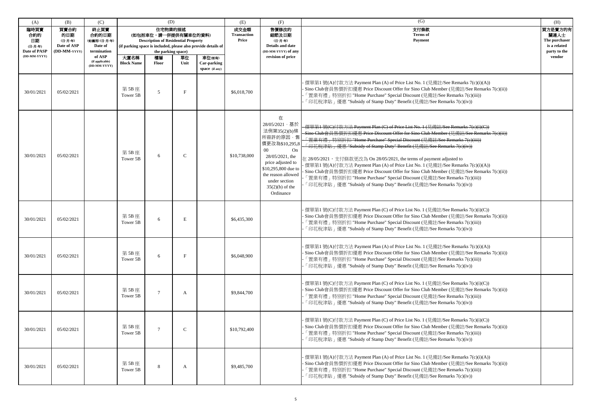| (A)                                                          | (B)                                                  | (C)                                                                                   | (D)<br>住宅物業的描述            |                                                                                                                |              | (E)                                                                     | (F)                                 | (G)                                                                                                                                                                                                                      | (H)                                                                                                                                                                                                                                                                                                                                                                                                                                                                                                                                                                                                                                                                                                                                   |                                                                            |
|--------------------------------------------------------------|------------------------------------------------------|---------------------------------------------------------------------------------------|---------------------------|----------------------------------------------------------------------------------------------------------------|--------------|-------------------------------------------------------------------------|-------------------------------------|--------------------------------------------------------------------------------------------------------------------------------------------------------------------------------------------------------------------------|---------------------------------------------------------------------------------------------------------------------------------------------------------------------------------------------------------------------------------------------------------------------------------------------------------------------------------------------------------------------------------------------------------------------------------------------------------------------------------------------------------------------------------------------------------------------------------------------------------------------------------------------------------------------------------------------------------------------------------------|----------------------------------------------------------------------------|
| 臨時買賣<br>合約的<br>日期<br>(日-月-年)<br>Date of PASP<br>(DD-MM-YYYY) | 買賣合約<br>的日期<br>(日-月-年)<br>Date of ASP<br>(DD-MM-YYYY | 終止買賣<br>合約的日期<br>(如適用) (日-月-年)<br>Date of<br>termination<br>of ASP<br>(if applicable) | 大廈名稱<br><b>Block Name</b> | (如包括車位,請一併提供有關車位的資料)<br><b>Description of Residential Property</b><br>the parking space)<br>樓層<br><b>Floor</b> | 單位<br>Unit   | (if parking space is included, please also provide details of<br>車位(如有) | 成交金額<br><b>Transaction</b><br>Price | 售價修改的<br>細節及日期<br>(日-月-年)<br>Details and date<br>(DD-MM-YYYY) of any<br>revision of price                                                                                                                                | 支付條款<br><b>Terms</b> of<br>Payment                                                                                                                                                                                                                                                                                                                                                                                                                                                                                                                                                                                                                                                                                                    | 買方是賣方的有<br>關連人士<br>The purchaser<br>is a related<br>party to the<br>vendor |
|                                                              |                                                      | (DD-MM-YYYY)                                                                          |                           |                                                                                                                |              | Car-parking<br>space (if any)                                           |                                     |                                                                                                                                                                                                                          |                                                                                                                                                                                                                                                                                                                                                                                                                                                                                                                                                                                                                                                                                                                                       |                                                                            |
| 30/01/2021                                                   | 05/02/2021                                           |                                                                                       | 第 5B 座<br>Tower 5B        | 5                                                                                                              | F            |                                                                         | \$6,018,700                         |                                                                                                                                                                                                                          | 便單第1號(A)付款方法 Payment Plan (A) of Price List No. 1 (見備註/See Remarks 7(c)(i)(A))<br>Sino Club會員售價折扣優惠 Price Discount Offer for Sino Club Member (見備註/See Remarks 7(c)(ii))<br>「置業有禮」特別折扣 "Home Purchase" Special Discount (見備註/See Remarks 7(c)(iii))<br>「印花稅津貼」優惠 "Subsidy of Stamp Duty" Benefit (見備註/See Remarks 7(c)(iv))                                                                                                                                                                                                                                                                                                                                                                                                           |                                                                            |
| 30/01/2021                                                   | 05/02/2021                                           |                                                                                       | 第5B座<br>Tower 5B          | 6                                                                                                              | $\mathsf{C}$ |                                                                         | \$10,738,000                        | 在<br>28/05/2021,基於<br>法例第35(2)(b)條<br>所容許的原因,售<br>價更改為\$10,295,8<br>$00\,$<br>On<br>28/05/2021, the<br>price adjusted to<br>\$10,295,800 due to<br>the reason allowed<br>under section<br>$35(2)(b)$ of the<br>Ordinance | 價單第1號(C)付款方法 Payment Plan (C) of Price List No. 1 (見備註/See Remarks 7(e)(i)(C))<br>Sino Club會員售價折扣優惠 Price Discount Offer for Sino Club Member (見備計/See Remarks 7(e)(ii))<br>「置業有禮 + 特別折扣 "Home Purchase" Special Discount (見備註/See Remarks 7(c)(iii))<br>「印花稅津貼」優惠 "Subsidy of Stamp Duty" Benefit (見備註/See Remarks 7(c)(iv))<br>在 28/05/2021, 支付條款更改為 On 28/05/2021, the terms of payment adjusted to<br>價單第1號(A)付款方法 Payment Plan (A) of Price List No. 1 (見備註/See Remarks 7(c)(i)(A))<br>Sino Club會員售價折扣優惠 Price Discount Offer for Sino Club Member (見備註/See Remarks 7(c)(ii))<br>「置業有禮」特別折扣 "Home Purchase" Special Discount (見備註/See Remarks 7(c)(iii))<br>「印花稅津貼」優惠 "Subsidy of Stamp Duty" Benefit (見備註/See Remarks 7(c)(iv)) |                                                                            |
| 30/01/2021                                                   | 05/02/2021                                           |                                                                                       | 第 5B 座<br>Tower 5B        | 6                                                                                                              | Е            |                                                                         | \$6,435,300                         |                                                                                                                                                                                                                          | 價單第1號(C)付款方法 Payment Plan (C) of Price List No. 1 (見備註/See Remarks 7(c)(i)(C))<br>Sino Club會員售價折扣優惠 Price Discount Offer for Sino Club Member (見備註/See Remarks 7(c)(ii))<br>「置業有禮」特別折扣 "Home Purchase" Special Discount (見備註/See Remarks 7(c)(iii))<br>「印花稅津貼」優惠 "Subsidy of Stamp Duty" Benefit (見備註/See Remarks 7(c)(iv))                                                                                                                                                                                                                                                                                                                                                                                                           |                                                                            |
| 30/01/2021                                                   | 05/02/2021                                           |                                                                                       | 第 5B 座<br>Tower 5B        | -6                                                                                                             |              |                                                                         | \$6,048,900                         |                                                                                                                                                                                                                          | 價單第1號(A)付款方法 Payment Plan (A) of Price List No. 1 (見備註/See Remarks 7(c)(i)(A))<br>· Sino Club會員售價折扣優惠 Price Discount Offer for Sino Club Member (見備註/See Remarks 7(c)(ii))<br>「置業有禮」特別折扣 "Home Purchase" Special Discount (見備註/See Remarks 7(c)(iii))<br>「印花稅津貼」優惠 "Subsidy of Stamp Duty" Benefit (見備註/See Remarks 7(c)(iv))                                                                                                                                                                                                                                                                                                                                                                                                         |                                                                            |
| 30/01/2021                                                   | 05/02/2021                                           |                                                                                       | 第 5B 座<br>Tower 5B        |                                                                                                                | A            |                                                                         | \$9,844,700                         |                                                                                                                                                                                                                          | 價單第1號(C)付款方法 Payment Plan (C) of Price List No. 1 (見備註/See Remarks 7(c)(i)(C))<br>Sino Club會員售價折扣優惠 Price Discount Offer for Sino Club Member (見備註/See Remarks 7(c)(ii))<br>「置業有禮」特別折扣 "Home Purchase" Special Discount (見備註/See Remarks 7(c)(iii))<br>「印花稅津貼」優惠 "Subsidy of Stamp Duty" Benefit (見備註/See Remarks 7(c)(iv))                                                                                                                                                                                                                                                                                                                                                                                                           |                                                                            |
| 30/01/2021                                                   | 05/02/2021                                           |                                                                                       | 第 5B 座<br>Tower 5B        |                                                                                                                | $\mathsf{C}$ |                                                                         | \$10,792,400                        |                                                                                                                                                                                                                          | 價單第1號(C)付款方法 Payment Plan (C) of Price List No. 1 (見備註/See Remarks 7(c)(i)(C))<br>Sino Club會員售價折扣優惠 Price Discount Offer for Sino Club Member (見備註/See Remarks 7(c)(ii))<br>「置業有禮」特別折扣 "Home Purchase" Special Discount (見備註/See Remarks 7(c)(iii))<br>「印花稅津貼」優惠 "Subsidy of Stamp Duty" Benefit (見備註/See Remarks 7(c)(iv))                                                                                                                                                                                                                                                                                                                                                                                                           |                                                                            |
| 30/01/2021                                                   | 05/02/2021                                           |                                                                                       | 第 5B 座<br>Tower 5B        | 8                                                                                                              | A            |                                                                         | \$9,485,700                         |                                                                                                                                                                                                                          | 價單第1號(A)付款方法 Payment Plan (A) of Price List No. 1 (見備註/See Remarks 7(c)(i)(A))<br>Sino Club會員售價折扣優惠 Price Discount Offer for Sino Club Member (見備註/See Remarks 7(c)(ii))<br>「置業有禮」特別折扣 "Home Purchase" Special Discount (見備註/See Remarks 7(c)(iii))<br>「印花稅津貼」優惠 "Subsidy of Stamp Duty" Benefit (見備註/See Remarks 7(c)(iv))                                                                                                                                                                                                                                                                                                                                                                                                           |                                                                            |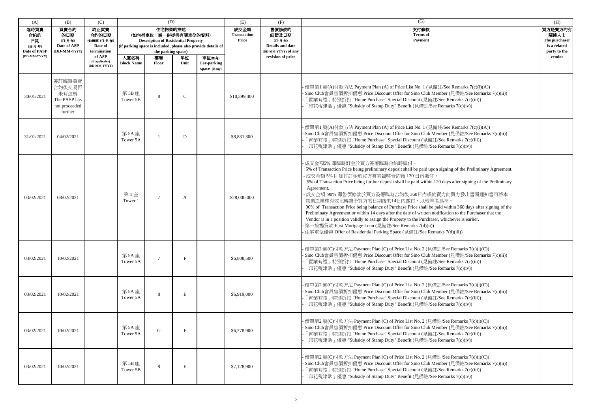| (A)                                                          | (B)                                                                  | (C)                                                                                                   | (D)                       |                                                                                                                                                                                     |              | (E)                                     | (F)                                 | (G)                                                                                       | (H)                                                                                                                                                                                                                                                                                                                                                                                                                                                                                                                                                                                                                                                                                                                                                                                                                                                                 |                                                                            |
|--------------------------------------------------------------|----------------------------------------------------------------------|-------------------------------------------------------------------------------------------------------|---------------------------|-------------------------------------------------------------------------------------------------------------------------------------------------------------------------------------|--------------|-----------------------------------------|-------------------------------------|-------------------------------------------------------------------------------------------|---------------------------------------------------------------------------------------------------------------------------------------------------------------------------------------------------------------------------------------------------------------------------------------------------------------------------------------------------------------------------------------------------------------------------------------------------------------------------------------------------------------------------------------------------------------------------------------------------------------------------------------------------------------------------------------------------------------------------------------------------------------------------------------------------------------------------------------------------------------------|----------------------------------------------------------------------------|
| 臨時買賣<br>合約的<br>日期<br>(日-月-年)<br>Date of PASP<br>(DD-MM-YYYY) | 買賣合約<br>的日期<br>(日-月-年)<br>Date of ASP<br>(DD-MM-YYYY                 | 終止買賣<br>合約的日期<br>(如適用) (日-月-年)<br>Date of<br>termination<br>of ASP<br>(if applicable)<br>(DD-MM-YYYY) | 大廈名稱<br><b>Block Name</b> | 住宅物業的描述<br>(如包括車位,請一併提供有關車位的資料)<br><b>Description of Residential Property</b><br>(if parking space is included, please also provide details of<br>the parking space)<br>樓層<br>Floor | 單位<br>Unit   | 車位(如有)<br>Car-parking<br>space (if any) | 成交金額<br><b>Transaction</b><br>Price | 售價修改的<br>細節及日期<br>(日-月-年)<br>Details and date<br>(DD-MM-YYYY) of any<br>revision of price | 支付條款<br><b>Terms</b> of<br>Payment                                                                                                                                                                                                                                                                                                                                                                                                                                                                                                                                                                                                                                                                                                                                                                                                                                  | 買方是賣方的有<br>關連人士<br>The purchaser<br>is a related<br>party to the<br>vendor |
| 30/01/2021                                                   | 簽訂臨時買賣<br>合約後交易再<br>未有進展<br>The PASP has<br>not proceeded<br>further |                                                                                                       | 第5B座<br>Tower 5B          | 8                                                                                                                                                                                   | $\mathsf{C}$ |                                         | \$10,399,400                        |                                                                                           | · 價單第1 號(A)付款方法 Payment Plan (A) of Price List No. 1 (見備註/See Remarks 7(c)(i)(A))<br>· Sino Club會員售價折扣優惠 Price Discount Offer for Sino Club Member (見備註/See Remarks 7(c)(ii))<br>[置業有禮 」 特別折扣 "Home Purchase" Special Discount (見備註/See Remarks 7(c)(iii))<br>「印花稅津貼」優惠 "Subsidy of Stamp Duty" Benefit (見備註/See Remarks 7(c)(iv))                                                                                                                                                                                                                                                                                                                                                                                                                                                                                                                                  |                                                                            |
| 31/01/2021                                                   | 04/02/2021                                                           |                                                                                                       | 第 5A 座<br>Tower 5A        |                                                                                                                                                                                     | D            |                                         | \$8,831,300                         |                                                                                           | - 價單第1 號(A)付款方法 Payment Plan (A) of Price List No. 1 (見備註/See Remarks 7(c)(i)(A))<br>- Sino Club會員售價折扣優惠 Price Discount Offer for Sino Club Member (見備註/See Remarks 7(c)(ii))<br>「置業有禮」特別折扣 "Home Purchase" Special Discount (見備註/See Remarks 7(c)(iii))<br>「印花稅津貼」優惠 "Subsidy of Stamp Duty" Benefit (見備註/See Remarks 7(c)(iv))                                                                                                                                                                                                                                                                                                                                                                                                                                                                                                                                    |                                                                            |
| 03/02/2021                                                   | 08/02/2021                                                           |                                                                                                       | 第1座<br>Tower 1            | $\overline{7}$                                                                                                                                                                      | A            |                                         | \$28,000,000                        |                                                                                           | 成交金額5% 即臨時訂金於買方簽署臨時合約時繳付。<br>5% of Transaction Price being preliminary deposit shall be paid upon signing of the Preliminary Agreement.<br>·成交金額 5% 即加付訂金於買方簽署臨時合約後 120 日内繳付。<br>5% of Transaction Price being further deposit shall be paid within 120 days after signing of the Preliminary<br>Agreement.<br>成交金額 90% 即售價餘款於買方簽署臨時合約後 360日內或於賣方向買方發出書面通知書可將本<br>物業之業權有效地轉讓予買方的日期後的14日內繳付,以較早者為準。<br>90% of Transaction Price being balance of Purchase Price shall be paid within 360 days after signing of the<br>Preliminary Agreement or within 14 days after the date of written notification to the Purchaser that the<br>Vendor is in a position validly to assign the Property to the Purchaser, whichever is earlier.<br>· 第一按揭貸款 First Mortgage Loan (見備註/See Remarks 7(d)(ii))<br>住宅車位優惠 Offer of Residential Parking Space (見備註/See Remarks 7(d)(iii)) |                                                                            |
| 03/02/2021                                                   | 10/02/2021                                                           |                                                                                                       | 第5A座<br>Tower 5A          |                                                                                                                                                                                     |              |                                         | \$6,808,500                         |                                                                                           | · 價單第2 號(C)付款方法 Payment Plan (C) of Price List No. 2 (見備註/See Remarks 7(c)(i)(C))<br>- Sino Club會員售價折扣優惠 Price Discount Offer for Sino Club Member (見備註/See Remarks 7(c)(ii))<br>「置業有禮」特別折扣 "Home Purchase" Special Discount (見備註/See Remarks 7(c)(iii))<br>「印花稅津貼」優惠 "Subsidy of Stamp Duty" Benefit (見備註/See Remarks 7(c)(iv))                                                                                                                                                                                                                                                                                                                                                                                                                                                                                                                                    |                                                                            |
| 03/02/2021                                                   | 10/02/2021                                                           |                                                                                                       | 第 5A 座<br>Tower 5A        | 8                                                                                                                                                                                   | Е            |                                         | \$6,919,000                         |                                                                                           | · 價單第2 號(C)付款方法 Payment Plan (C) of Price List No. 2 (見備註/See Remarks 7(c)(i)(C))<br>· Sino Club會員售價折扣優惠 Price Discount Offer for Sino Club Member (見備註/See Remarks 7(c)(ii))<br>「置業有禮」特別折扣 "Home Purchase" Special Discount (見備註/See Remarks 7(c)(iii))<br>「印花稅津貼」優惠 "Subsidy of Stamp Duty" Benefit (見備註/See Remarks 7(c)(iv))                                                                                                                                                                                                                                                                                                                                                                                                                                                                                                                                    |                                                                            |
| 03/02/2021                                                   | 10/02/2021                                                           |                                                                                                       | 第 5A 座<br>Tower 5A        | G                                                                                                                                                                                   | F            |                                         | \$6,278,900                         |                                                                                           | 價單第2號(C)付款方法 Payment Plan (C) of Price List No. 2 (見備註/See Remarks 7(c)(i)(C))<br>· Sino Club會員售價折扣優惠 Price Discount Offer for Sino Club Member (見備註/See Remarks 7(c)(ii))<br>「置業有禮」特別折扣 "Home Purchase" Special Discount (見備註/See Remarks 7(c)(iii))<br>「印花稅津貼」優惠 "Subsidy of Stamp Duty" Benefit (見備註/See Remarks 7(c)(iv))                                                                                                                                                                                                                                                                                                                                                                                                                                                                                                                                       |                                                                            |
| 03/02/2021                                                   | 10/02/2021                                                           |                                                                                                       | 第5B座<br>Tower 5B          | 8                                                                                                                                                                                   | E            |                                         | \$7,128,900                         |                                                                                           | 價單第2號(C)付款方法 Payment Plan (C) of Price List No. 2 (見備註/See Remarks 7(c)(i)(C))<br>Sino Club會員售價折扣優惠 Price Discount Offer for Sino Club Member (見備註/See Remarks 7(c)(ii))<br>「置業有禮」特別折扣 "Home Purchase" Special Discount (見備註/See Remarks 7(c)(iii))<br>「印花稅津貼」優惠 "Subsidy of Stamp Duty" Benefit (見備註/See Remarks 7(c)(iv))                                                                                                                                                                                                                                                                                                                                                                                                                                                                                                                                         |                                                                            |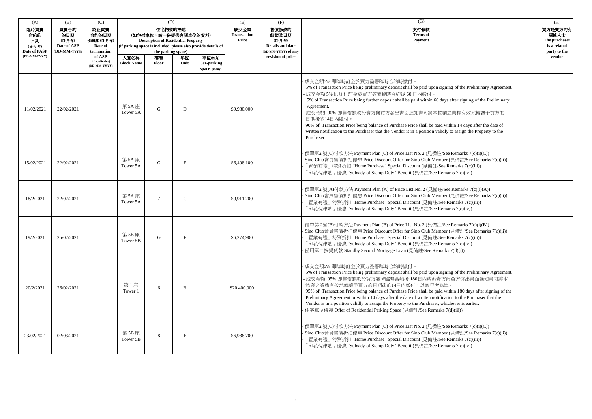| (A)                                          | (B)                                                   | (C)                                                      |                           | (D)                                                                                                 |             |                                                               | (E)                                 | (F)                                                                  | (G)                                                                                                                                                                                                                                                                                                                                                                                                                                                                                                                                                                                                                                   | (H)                                                              |
|----------------------------------------------|-------------------------------------------------------|----------------------------------------------------------|---------------------------|-----------------------------------------------------------------------------------------------------|-------------|---------------------------------------------------------------|-------------------------------------|----------------------------------------------------------------------|---------------------------------------------------------------------------------------------------------------------------------------------------------------------------------------------------------------------------------------------------------------------------------------------------------------------------------------------------------------------------------------------------------------------------------------------------------------------------------------------------------------------------------------------------------------------------------------------------------------------------------------|------------------------------------------------------------------|
| 臨時買賣<br>合約的<br>日期<br>(日-月-年)<br>Date of PASP | 買賣合約<br>的日期<br>(日-月-年)<br>Date of ASP<br>(DD-MM-YYYY) | 終止買賣<br>合約的日期<br>(如適用) (日-月-年)<br>Date of<br>termination |                           | 住宅物業的描述<br>(如包括車位,請一併提供有關車位的資料)<br><b>Description of Residential Property</b><br>the parking space) |             | (if parking space is included, please also provide details of | 成交金額<br><b>Transaction</b><br>Price | 售價修改的<br>細節及日期<br>(日-月-年)<br>Details and date<br>(DD-MM-YYYY) of any | 支付條款<br><b>Terms</b> of<br>Payment                                                                                                                                                                                                                                                                                                                                                                                                                                                                                                                                                                                                    | 買方是賣方的有<br>關連人士<br>The purchaser<br>is a related<br>party to the |
| (DD-MM-YYYY)                                 |                                                       | of ASP<br>(if applicable)<br>(DD-MM-YYYY)                | 大廈名稱<br><b>Block Name</b> | 樓層<br><b>Floor</b>                                                                                  | 單位<br>Unit  | 車位(如有)<br>Car-parking<br>space (if any)                       |                                     | revision of price                                                    |                                                                                                                                                                                                                                                                                                                                                                                                                                                                                                                                                                                                                                       | vendor                                                           |
| 11/02/2021                                   | 22/02/2021                                            |                                                          | 第 5A 座<br>Tower 5A        | G                                                                                                   | D           |                                                               | \$9,980,000                         |                                                                      | 成交金額5% 即臨時訂金於買方簽署臨時合約時繳付。<br>5% of Transaction Price being preliminary deposit shall be paid upon signing of the Preliminary Agreement.<br>成交金額 5% 即加付訂金於買方簽署臨時合約後 60日內繳付。<br>5% of Transaction Price being further deposit shall be paid within 60 days after signing of the Preliminary<br>Agreement.<br>成交金額 90% 即售價餘款於賣方向買方發出書面通知書可將本物業之業權有效地轉讓予買方的<br>日期後的14日內繳付。<br>90% of Transaction Price being balance of Purchase Price shall be paid within 14 days after the date of<br>written notification to the Purchaser that the Vendor is in a position validly to assign the Property to the<br>Purchaser.                       |                                                                  |
| 15/02/2021                                   | 22/02/2021                                            |                                                          | 第 5A 座<br>Tower 5A        | $\mathbf G$                                                                                         | E           |                                                               | \$6,408,100                         |                                                                      | 價單第2號(C)付款方法 Payment Plan (C) of Price List No. 2 (見備註/See Remarks 7(c)(i)(C))<br>Sino Club會員售價折扣優惠 Price Discount Offer for Sino Club Member (見備註/See Remarks 7(c)(ii))<br>「置業有禮」特別折扣 "Home Purchase" Special Discount (見備註/See Remarks 7(c)(iii))<br>「印花稅津貼」優惠 "Subsidy of Stamp Duty" Benefit (見備註/See Remarks 7(c)(iv))                                                                                                                                                                                                                                                                                                           |                                                                  |
| 18/2/2021                                    | 22/02/2021                                            |                                                          | 第 5A 座<br>Tower 5A        | $\overline{7}$                                                                                      | $\mathbf C$ |                                                               | \$9,911,200                         |                                                                      | 價單第2號(A)付款方法 Payment Plan (A) of Price List No. 2 (見備註/See Remarks 7(c)(i)(A))<br>Sino Club會員售價折扣優惠 Price Discount Offer for Sino Club Member (見備註/See Remarks 7(c)(ii))<br>「置業有禮」特別折扣 "Home Purchase" Special Discount (見備註/See Remarks 7(c)(iii))<br>「印花稅津貼」優惠 "Subsidy of Stamp Duty" Benefit (見備註/See Remarks 7(c)(iv))                                                                                                                                                                                                                                                                                                           |                                                                  |
| 19/2/2021                                    | 25/02/2021                                            |                                                          | 第5B座<br>Tower 5B          | G                                                                                                   | F           |                                                               | \$6,274,900                         |                                                                      | 價單第 2號(B)付款方法 Payment Plan (B) of Price List No. 2 (見備註/See Remarks 7(c)(i)(B))<br>Sino Club會員售價折扣優惠 Price Discount Offer for Sino Club Member (見備註/See Remarks 7(c)(ii))<br>「置業有禮」特別折扣 "Home Purchase" Special Discount (見備註/See Remarks 7(c)(iii))<br>「印花稅津貼」優惠 "Subsidy of Stamp Duty" Benefit (見備註/See Remarks 7(c)(iv))<br>· 備用第二按揭貸款 Standby Second Mortgage Loan (見備註/See Remarks 7(d)(i))                                                                                                                                                                                                                                     |                                                                  |
| 20/2/2021                                    | 26/02/2021                                            |                                                          | 第1座<br>Tower 1            | 6                                                                                                   | B           |                                                               | \$20,400,000                        |                                                                      | 成交金額5%即臨時訂金於買方簽署臨時合約時繳付。<br>5% of Transaction Price being preliminary deposit shall be paid upon signing of the Preliminary Agreement.<br>- 成交金額 95% 即售價餘款於買方簽署臨時合約後 180日內或於賣方向買方發出書面通知書可將本<br>物業之業權有效地轉讓予買方的日期後的14日內繳付,以較早者為準。<br>95% of Transaction Price being balance of Purchase Price shall be paid within 180 days after signing of the<br>Preliminary Agreement or within 14 days after the date of written notification to the Purchaser that the<br>Vendor is in a position validly to assign the Property to the Purchaser, whichever is earlier.<br>住宅車位優惠 Offer of Residential Parking Space (見備註/See Remarks 7(d)(iii)) |                                                                  |
| 23/02/2021                                   | 02/03/2021                                            |                                                          | 第 5B 座<br>Tower 5B        | 8                                                                                                   | F           |                                                               | \$6,988,700                         |                                                                      | 價單第2號(C)付款方法 Payment Plan (C) of Price List No. 2 (見備註/See Remarks 7(c)(i)(C))<br>· Sino Club會員售價折扣優惠 Price Discount Offer for Sino Club Member (見備註/See Remarks 7(c)(ii))<br>「置業有禮」特別折扣 "Home Purchase" Special Discount (見備註/See Remarks 7(c)(iii))<br>「印花稅津貼」優惠 "Subsidy of Stamp Duty" Benefit (見備註/See Remarks 7(c)(iv))                                                                                                                                                                                                                                                                                                         |                                                                  |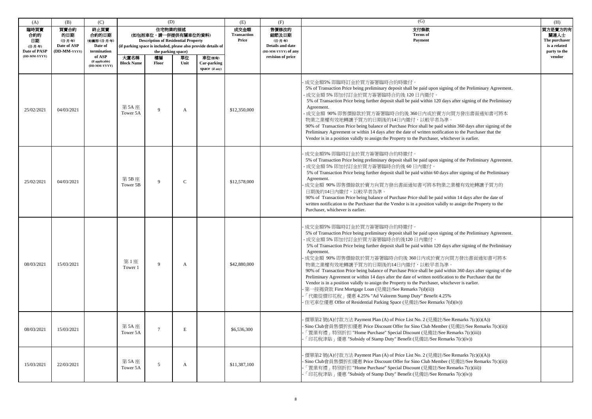| (A)                                                          | (B)                                                  | (C)                                                                                                  |                           | (D)                                                                                                                |              |                                                                                                          | (E)                                 | (F)                                                                                              | (G)                                                                                                                                                                                                                                                                                                                                                                                                                                                                                                                                                                                                                                                                                                                                                                                                                                                                                                                           | (H)                                                                        |
|--------------------------------------------------------------|------------------------------------------------------|------------------------------------------------------------------------------------------------------|---------------------------|--------------------------------------------------------------------------------------------------------------------|--------------|----------------------------------------------------------------------------------------------------------|-------------------------------------|--------------------------------------------------------------------------------------------------|-------------------------------------------------------------------------------------------------------------------------------------------------------------------------------------------------------------------------------------------------------------------------------------------------------------------------------------------------------------------------------------------------------------------------------------------------------------------------------------------------------------------------------------------------------------------------------------------------------------------------------------------------------------------------------------------------------------------------------------------------------------------------------------------------------------------------------------------------------------------------------------------------------------------------------|----------------------------------------------------------------------------|
| 臨時買賣<br>合約的<br>日期<br>(日-月-年)<br>Date of PASP<br>(DD-MM-YYYY) | 買賣合約<br>的日期<br>(日-月-年)<br>Date of ASP<br>(DD-MM-YYYY | 終止買賣<br>合約的日期<br>(如適用)(日-月-年)<br>Date of<br>termination<br>of ASP<br>(if applicable)<br>(DD-MM-YYYY) | 大廈名稱<br><b>Block Name</b> | 住宅物業的描述<br>(如包括車位,請一併提供有關車位的資料)<br><b>Description of Residential Property</b><br>the parking space)<br>樓層<br>Floor | 單位<br>Unit   | (if parking space is included, please also provide details of<br>車位(如有)<br>Car-parking<br>space (if any) | 成交金額<br><b>Transaction</b><br>Price | 售價修改的<br>細節及日期<br>(日-月-年)<br><b>Details and date</b><br>(DD-MM-YYYY) of any<br>revision of price | 支付條款<br><b>Terms</b> of<br><b>Payment</b>                                                                                                                                                                                                                                                                                                                                                                                                                                                                                                                                                                                                                                                                                                                                                                                                                                                                                     | 買方是賣方的有<br>關連人士<br>The purchaser<br>is a related<br>party to the<br>vendor |
| 25/02/2021                                                   | 04/03/2021                                           |                                                                                                      | 第 5A 座<br>Tower 5A        | $\mathbf Q$                                                                                                        | A            |                                                                                                          | \$12,350,000                        |                                                                                                  | 成交金額5% 即臨時訂金於買方簽署臨時合約時繳付。<br>5% of Transaction Price being preliminary deposit shall be paid upon signing of the Preliminary Agreement.<br>成交金額 5% 即加付訂金於買方簽署臨時合約後 120 日內繳付。<br>5% of Transaction Price being further deposit shall be paid within 120 days after signing of the Preliminary<br>Agreement.<br>成交金額 90% 即售價餘款於買方簽署臨時合約後 360日內或於賣方向買方發出書面通知書可將本<br>物業之業權有效地轉讓予買方的日期後的14日內繳付,以較早者為準。<br>90% of Transaction Price being balance of Purchase Price shall be paid within 360 days after signing of the<br>Preliminary Agreement or within 14 days after the date of written notification to the Purchaser that the<br>Vendor is in a position validly to assign the Property to the Purchaser, whichever is earlier.                                                                                                                                                                                                |                                                                            |
| 25/02/2021                                                   | 04/03/2021                                           |                                                                                                      | 第5B座<br>Tower 5B          | 9                                                                                                                  | $\mathsf{C}$ |                                                                                                          | \$12,578,000                        |                                                                                                  | 成交金額5% 即臨時訂金於買方簽署臨時合約時繳付。<br>5% of Transaction Price being preliminary deposit shall be paid upon signing of the Preliminary Agreement.<br>·成交金額 5% 即加付訂金於買方簽署臨時合約後 60日內繳付。<br>5% of Transaction Price being further deposit shall be paid within 60 days after signing of the Preliminary<br>Agreement.<br>成交金額 90% 即售價餘款於賣方向買方發出書面通知書可將本物業之業權有效地轉讓予買方的<br>日期後的14日內繳付,以較早者為準。<br>90% of Transaction Price being balance of Purchase Price shall be paid within 14 days after the date of<br>written notification to the Purchaser that the Vendor is in a position validly to assign the Property to the<br>Purchaser, whichever is earlier.                                                                                                                                                                                                                                                                                 |                                                                            |
| 08/03/2021                                                   | 15/03/2021                                           |                                                                                                      | 第1座<br>Tower 1            | 9                                                                                                                  | A            |                                                                                                          | \$42,880,000                        |                                                                                                  | 成交金額5% 即臨時訂金於買方簽署臨時合約時繳付。<br>5% of Transaction Price being preliminary deposit shall be paid upon signing of the Preliminary Agreement.<br>·成交金額 5% 即加付訂金於買方簽署臨時合約後120日內繳付。<br>5% of Transaction Price being further deposit shall be paid within 120 days after signing of the Preliminary<br>Agreement.<br>成交金額 90% 即售價餘款於買方簽署臨時合約後 360日內或於賣方向買方發出書面通知書可將本<br>物業之業權有效地轉讓予買方的日期後的14日內繳付,以較早者為準。<br>90% of Transaction Price being balance of Purchase Price shall be paid within 360 days after signing of the<br>Preliminary Agreement or within 14 days after the date of written notification to the Purchaser that the<br>Vendor is in a position validly to assign the Property to the Purchaser, whichever is earlier.<br>· 第一按揭貸款 First Mortgage Loan (見備註/See Remarks 7(d)(ii))<br>「代繳從價印花稅」優惠 4.25% "Ad Valorem Stamp Duty" Benefit 4.25%<br>· 住宅車位優惠 Offer of Residential Parking Space (見備註/See Remarks 7(d)(iv)) |                                                                            |
| 08/03/2021                                                   | 15/03/2021                                           |                                                                                                      | 第 5A 座<br>Tower 5A        | $\overline{7}$                                                                                                     | E            |                                                                                                          | \$6,536,300                         |                                                                                                  | 價單第2號(A)付款方法 Payment Plan (A) of Price List No. 2 (見備註/See Remarks 7(c)(i)(A))<br>· Sino Club會員售價折扣優惠 Price Discount Offer for Sino Club Member (見備註/See Remarks 7(c)(ii))<br>「置業有禮」特別折扣 "Home Purchase" Special Discount (見備註/See Remarks 7(c)(iii))<br>「印花稅津貼」優惠 "Subsidy of Stamp Duty" Benefit (見備註/See Remarks 7(c)(iv))                                                                                                                                                                                                                                                                                                                                                                                                                                                                                                                                                                                                 |                                                                            |
| 15/03/2021                                                   | 22/03/2021                                           |                                                                                                      | 第 5A 座<br>Tower 5A        | 5                                                                                                                  | A            |                                                                                                          | \$11,387,100                        |                                                                                                  | 價單第2號(A)付款方法 Payment Plan (A) of Price List No. 2 (見備註/See Remarks 7(c)(i)(A))<br>· Sino Club會員售價折扣優惠 Price Discount Offer for Sino Club Member (見備註/See Remarks 7(c)(ii))<br>「置業有禮」特別折扣 "Home Purchase" Special Discount (見備註/See Remarks 7(c)(iii))<br>「印花稅津貼」優惠 "Subsidy of Stamp Duty" Benefit (見備註/See Remarks 7(c)(iv))                                                                                                                                                                                                                                                                                                                                                                                                                                                                                                                                                                                                 |                                                                            |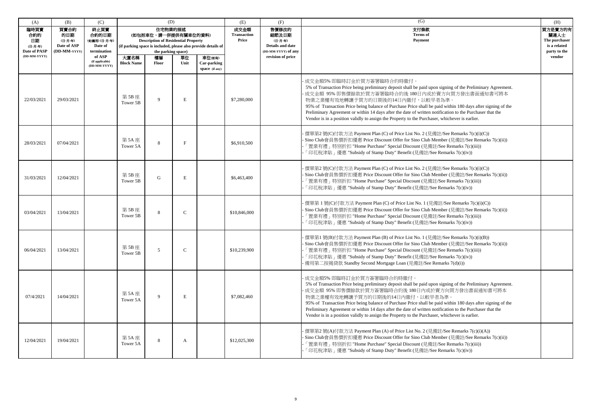| (A)                                          | (B)                                                   | (C)                                                     |                           | (D)                                                                                                                                                                  |               |                                                | (E)                                 | (F)                                                                         | (G)                                                                                                                                                                                                                                                                                                                                                                                                                                                                                                                                                         | (H)                                                              |
|----------------------------------------------|-------------------------------------------------------|---------------------------------------------------------|---------------------------|----------------------------------------------------------------------------------------------------------------------------------------------------------------------|---------------|------------------------------------------------|-------------------------------------|-----------------------------------------------------------------------------|-------------------------------------------------------------------------------------------------------------------------------------------------------------------------------------------------------------------------------------------------------------------------------------------------------------------------------------------------------------------------------------------------------------------------------------------------------------------------------------------------------------------------------------------------------------|------------------------------------------------------------------|
| 臨時買賣<br>合約的<br>日期<br>(日-月-年)<br>Date of PASP | 買賣合約<br>的日期<br>(日-月-年)<br>Date of ASP<br>(DD-MM-YYYY) | 終止買賣<br>合約的日期<br>(如適用)(日-月-年)<br>Date of<br>termination |                           | 住宅物業的描述<br>(如包括車位,請一併提供有關車位的資料)<br><b>Description of Residential Property</b><br>(if parking space is included, please also provide details of<br>the parking space) |               |                                                | 成交金額<br><b>Transaction</b><br>Price | 售價修改的<br>細節及日期<br>(日-月-年)<br><b>Details and date</b><br>(DD-MM-YYYY) of any | 支付條款<br><b>Terms</b> of<br><b>Payment</b>                                                                                                                                                                                                                                                                                                                                                                                                                                                                                                                   | 買方是賣方的有<br>關連人士<br>The purchaser<br>is a related<br>party to the |
| (DD-MM-YYYY)                                 |                                                       | of ASP<br>(if applicable)<br>(DD-MM-YYYY)               | 大廈名稱<br><b>Block Name</b> | 樓層<br>Floor                                                                                                                                                          | 單位<br>Unit    | 車位(如有)<br><b>Car-parking</b><br>space (if any) |                                     | revision of price                                                           |                                                                                                                                                                                                                                                                                                                                                                                                                                                                                                                                                             | vendor                                                           |
| 22/03/2021                                   | 29/03/2021                                            |                                                         | 第 5B 座<br>Tower 5B        | 9                                                                                                                                                                    | E             |                                                | \$7,280,000                         |                                                                             | 成交金額5% 即臨時訂金於買方簽署臨時合約時繳付。<br>5% of Transaction Price being preliminary deposit shall be paid upon signing of the Preliminary Agreement.<br>成交金額 95% 即售價餘款於買方簽署臨時合約後180日內或於賣方向買方發出書面通知書可將本<br>物業之業權有效地轉讓予買方的日期後的14日內繳付,以較早者為準。<br>95% of Transaction Price being balance of Purchase Price shall be paid within 180 days after signing of the<br>Preliminary Agreement or within 14 days after the date of written notification to the Purchaser that the<br>Vendor is in a position validly to assign the Property to the Purchaser, whichever is earlier.  |                                                                  |
| 28/03/2021                                   | 07/04/2021                                            |                                                         | 第 5A 座<br>Tower 5A        | 8                                                                                                                                                                    | F             |                                                | \$6,910,500                         |                                                                             | 價單第2號(C)付款方法 Payment Plan (C) of Price List No. 2 (見備註/See Remarks 7(c)(i)(C))<br>Sino Club會員售價折扣優惠 Price Discount Offer for Sino Club Member (見備註/See Remarks 7(c)(ii))<br>「置業有禮」特別折扣 "Home Purchase" Special Discount (見備註/See Remarks 7(c)(iii))<br>「印花稅津貼」優惠 "Subsidy of Stamp Duty" Benefit (見備註/See Remarks 7(c)(iv))                                                                                                                                                                                                                                 |                                                                  |
| 31/03/2021                                   | 12/04/2021                                            |                                                         | 第 5B 座<br>Tower 5B        | G                                                                                                                                                                    | E             |                                                | \$6,463,400                         |                                                                             | 價單第2號(C)付款方法 Payment Plan (C) of Price List No. 2 (見備註/See Remarks 7(c)(i)(C))<br>Sino Club會員售價折扣優惠 Price Discount Offer for Sino Club Member (見備註/See Remarks 7(c)(ii))<br>「置業有禮」特別折扣 "Home Purchase" Special Discount (見備註/See Remarks 7(c)(iii))<br>「印花稅津貼」優惠 "Subsidy of Stamp Duty" Benefit (見備註/See Remarks 7(c)(iv))                                                                                                                                                                                                                                 |                                                                  |
| 03/04/2021                                   | 13/04/2021                                            |                                                         | 第 5B 座<br>Tower 5B        | 8                                                                                                                                                                    | C             |                                                | \$10,846,000                        |                                                                             | 價單第 1號(C)付款方法 Payment Plan (C) of Price List No. 1 (見備註/See Remarks 7(c)(i)(C))<br>Sino Club會員售價折扣優惠 Price Discount Offer for Sino Club Member (見備註/See Remarks 7(c)(ii))<br>「置業有禮」特別折扣 "Home Purchase" Special Discount (見備註/See Remarks 7(c)(iii))<br>「印花稅津貼」優惠 "Subsidy of Stamp Duty" Benefit (見備註/See Remarks 7(c)(iv))                                                                                                                                                                                                                                |                                                                  |
| 06/04/2021                                   | 13/04/2021                                            |                                                         | 第 5B 座<br>Tower 5B        | 5                                                                                                                                                                    | $\mathcal{C}$ |                                                | \$10,239,900                        |                                                                             | 價單第1號(B)付款方法 Payment Plan (B) of Price List No. 1 (見備註/See Remarks 7(c)(i)(B))<br>Sino Club會員售價折扣優惠 Price Discount Offer for Sino Club Member (見備註/See Remarks 7(c)(ii))<br>「置業有禮」特別折扣 "Home Purchase" Special Discount (見備註/See Remarks 7(c)(iii))<br>「印花稅津貼」優惠 "Subsidy of Stamp Duty" Benefit (見備註/See Remarks 7(c)(iv))<br>· 備用第二按揭貸款 Standby Second Mortgage Loan (見備註/See Remarks 7(d)(i))                                                                                                                                                            |                                                                  |
| 07/4/2021                                    | 14/04/2021                                            |                                                         | 第 5A 座<br>Tower 5A        | 9                                                                                                                                                                    | E             |                                                | \$7,082,460                         |                                                                             | 成交金額5% 即臨時訂金於買方簽署臨時合約時繳付。<br>5% of Transaction Price being preliminary deposit shall be paid upon signing of the Preliminary Agreement.<br>成交金額 95% 即售價餘款於買方簽署臨時合約後 180日內或於賣方向買方發出書面通知書可將本<br>物業之業權有效地轉讓予買方的日期後的14日內繳付,以較早者為準。<br>95% of Transaction Price being balance of Purchase Price shall be paid within 180 days after signing of the<br>Preliminary Agreement or within 14 days after the date of written notification to the Purchaser that the<br>Vendor is in a position validly to assign the Property to the Purchaser, whichever is earlier. |                                                                  |
| 12/04/2021                                   | 19/04/2021                                            |                                                         | 第 5A 座<br>Tower 5A        | 8                                                                                                                                                                    | A             |                                                | \$12,025,300                        |                                                                             | 價單第2號(A)付款方法 Payment Plan (A) of Price List No. 2 (見備註/See Remarks 7(c)(i)(A))<br>Sino Club會員售價折扣優惠 Price Discount Offer for Sino Club Member (見備註/See Remarks 7(c)(ii))<br>「置業有禮」特別折扣 "Home Purchase" Special Discount (見備註/See Remarks 7(c)(iii))<br>「印花稅津貼」優惠 "Subsidy of Stamp Duty" Benefit (見備註/See Remarks 7(c)(iv))                                                                                                                                                                                                                                 |                                                                  |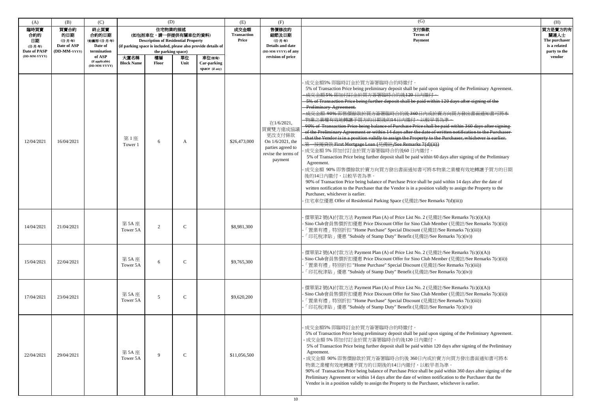| (A)                                                          | (B)                                                  | (C)                                                                                                   |                           | (D)                                                                                                                                                                                 |               |                                         | (E)                                 | (F)                                                                                                        | (G)                                                                                                                                                                                                                                                                                                                                                                                                                                                                                                                                                                                                                                                                                                                                                                                                                                                                                                                                                                                                                                                                                                                                                                                                                                                                                                                                                                      | (H)                                                                        |
|--------------------------------------------------------------|------------------------------------------------------|-------------------------------------------------------------------------------------------------------|---------------------------|-------------------------------------------------------------------------------------------------------------------------------------------------------------------------------------|---------------|-----------------------------------------|-------------------------------------|------------------------------------------------------------------------------------------------------------|--------------------------------------------------------------------------------------------------------------------------------------------------------------------------------------------------------------------------------------------------------------------------------------------------------------------------------------------------------------------------------------------------------------------------------------------------------------------------------------------------------------------------------------------------------------------------------------------------------------------------------------------------------------------------------------------------------------------------------------------------------------------------------------------------------------------------------------------------------------------------------------------------------------------------------------------------------------------------------------------------------------------------------------------------------------------------------------------------------------------------------------------------------------------------------------------------------------------------------------------------------------------------------------------------------------------------------------------------------------------------|----------------------------------------------------------------------------|
| 臨時買賣<br>合約的<br>日期<br>(日-月-年)<br>Date of PASP<br>(DD-MM-YYYY) | 買賣合約<br>的日期<br>(日-月-年)<br>Date of ASP<br>(DD-MM-YYYY | 終止買賣<br>合約的日期<br>(如適用) (日-月-年)<br>Date of<br>termination<br>of ASP<br>(if applicable)<br>(DD-MM-YYYY) | 大廈名稱<br><b>Block Name</b> | 住宅物業的描述<br>(如包括車位,請一併提供有關車位的資料)<br><b>Description of Residential Property</b><br>(if parking space is included, please also provide details of<br>the parking space)<br>樓層<br>Floor | 單位<br>Unit    | 車位(如有)<br>Car-parking<br>space (if any) | 成交金額<br><b>Transaction</b><br>Price | 售價修改的<br>細節及日期<br>(日-月-年)<br>Details and date<br>(DD-MM-YYYY) of any<br>revision of price                  | 支付條款<br><b>Terms</b> of<br><b>Payment</b>                                                                                                                                                                                                                                                                                                                                                                                                                                                                                                                                                                                                                                                                                                                                                                                                                                                                                                                                                                                                                                                                                                                                                                                                                                                                                                                                | 買方是賣方的有<br>關連人士<br>The purchaser<br>is a related<br>party to the<br>vendor |
| 12/04/2021                                                   | 16/04/2021                                           |                                                                                                       | 第1座<br>Tower 1            | 6                                                                                                                                                                                   | A             |                                         | \$26,473,000                        | 在1/6/2021,<br>買賣雙方達成協<br>更改支付條款<br>On 1/6/2021, the<br>parties agreed to<br>revise the terms of<br>payment | 成交金額5% 即臨時訂金於買方簽署臨時合約時繳付。<br>5% of Transaction Price being preliminary deposit shall be paid upon signing of the Preliminary Agreement.<br>成交金額 5% 即加付訂金於買方簽署臨時合約後120日內繳付。<br>5% of Transaction Price being further deposit shall be paid within 120 days after signing of the<br><b>Preliminary Agreement.</b><br>成交金額 90% 即售價餘款於買方簽署臨時合約後360日內或於賣方向買方發出書面通知書可將本<br>物業之業權有效地轉讓予買方的日期後的14日內繳付,以較早者為準。<br>90% of Transaction Price being balance of Purchase Price shall be paid within 360 days after signing<br>of the Preliminary Agreement or within 14 days after the date of written notification to the Purchaser<br>that the Vendor is in a position validly to assign the Property to the Purchaser, whichever is earlier.<br>- 第一按揭貸款 First Mortgage Loan (見備註/See Remarks 7(d)(ii))<br>成交金額5%即加付訂金於買方簽署臨時合約後60日內繳付。<br>5% of Transaction Price being further deposit shall be paid within 60 days after signing of the Preliminary<br>Agreement.<br>成交金額 90% 即售價餘款於賣方向買方發出書面通知書可將本物業之業權有效地轉讓予買方的日期<br>後的14日內繳付,以較早者為準。<br>90% of Transaction Price being balance of Purchase Price shall be paid within 14 days after the date of<br>written notification to the Purchaser that the Vendor is in a position validly to assign the Property to the<br>Purchaser, whichever is earlier.<br>住宅車位優惠 Offer of Residential Parking Space (見備註/See Remarks 7(d)(iii)) |                                                                            |
| 14/04/2021                                                   | 21/04/2021                                           |                                                                                                       | 第 5A 座<br>Tower 5A        | 2                                                                                                                                                                                   | C             |                                         | \$8,981,300                         |                                                                                                            | 價單第2號(A)付款方法 Payment Plan (A) of Price List No. 2 (見備註/See Remarks 7(c)(i)(A))<br>· Sino Club會員售價折扣優惠 Price Discount Offer for Sino Club Member (見備註/See Remarks 7(c)(ii))<br>「置業有禮」特別折扣 "Home Purchase" Special Discount (見備註/See Remarks 7(c)(iii))<br>「印花稅津貼」優惠 "Subsidy of Stamp Duty" Benefit (見備註/See Remarks 7(c)(iv))                                                                                                                                                                                                                                                                                                                                                                                                                                                                                                                                                                                                                                                                                                                                                                                                                                                                                                                                                                                                                                            |                                                                            |
| 15/04/2021                                                   | 22/04/2021                                           |                                                                                                       | 第5A座<br>Tower 5A          | 6                                                                                                                                                                                   | $\mathsf{C}$  |                                         | \$9,765,300                         |                                                                                                            | - 價單第2 號(A)付款方法 Payment Plan (A) of Price List No. 2 (見備註/See Remarks 7(c)(i)(A))<br>- Sino Club會員售價折扣優惠 Price Discount Offer for Sino Club Member (見備註/See Remarks 7(c)(ii))<br>「置業有禮」特別折扣 "Home Purchase" Special Discount (見備註/See Remarks 7(c)(iii))<br>「印花稅津貼」優惠 "Subsidy of Stamp Duty" Benefit (見備註/See Remarks 7(c)(iv))                                                                                                                                                                                                                                                                                                                                                                                                                                                                                                                                                                                                                                                                                                                                                                                                                                                                                                                                                                                                                                         |                                                                            |
| 17/04/2021                                                   | 23/04/2021                                           |                                                                                                       | 第 5A 座<br>Tower 5A        | 5                                                                                                                                                                                   | $\mathbf{C}$  |                                         | \$9,620,200                         |                                                                                                            | 價單第2號(A)付款方法 Payment Plan (A) of Price List No. 2 (見備註/See Remarks 7(c)(i)(A))<br>· Sino Club會員售價折扣優惠 Price Discount Offer for Sino Club Member (見備註/See Remarks 7(c)(ii))<br>「置業有禮」特別折扣 "Home Purchase" Special Discount (見備註/See Remarks 7(c)(iii))<br>「印花稅津貼」優惠 "Subsidy of Stamp Duty" Benefit (見備註/See Remarks 7(c)(iv))                                                                                                                                                                                                                                                                                                                                                                                                                                                                                                                                                                                                                                                                                                                                                                                                                                                                                                                                                                                                                                            |                                                                            |
| 22/04/2021                                                   | 29/04/2021                                           |                                                                                                       | 第 5A 座<br>Tower 5A        | $\mathbf{Q}$                                                                                                                                                                        | $\mathcal{C}$ |                                         | \$11,056,500                        |                                                                                                            | · 成交金額5% 即臨時訂金於買方簽署臨時合約時繳付。<br>5% of Transaction Price being preliminary deposit shall be paid upon signing of the Preliminary Agreement.<br>·成交金額 5% 即加付訂金於買方簽署臨時合約後120日內繳付。<br>5% of Transaction Price being further deposit shall be paid within 120 days after signing of the Preliminary<br>Agreement.<br>·成交金額 90% 即售價餘款於買方簽署臨時合約後 360日內或於賣方向買方發出書面通知書可將本<br>物業之業權有效地轉讓予買方的日期後的14日內繳付,以較早者為準。<br>90% of Transaction Price being balance of Purchase Price shall be paid within 360 days after signing of the<br>Preliminary Agreement or within 14 days after the date of written notification to the Purchaser that the<br>Vendor is in a position validly to assign the Property to the Purchaser, whichever is earlier.                                                                                                                                                                                                                                                                                                                                                                                                                                                                                                                                                                                                                                         |                                                                            |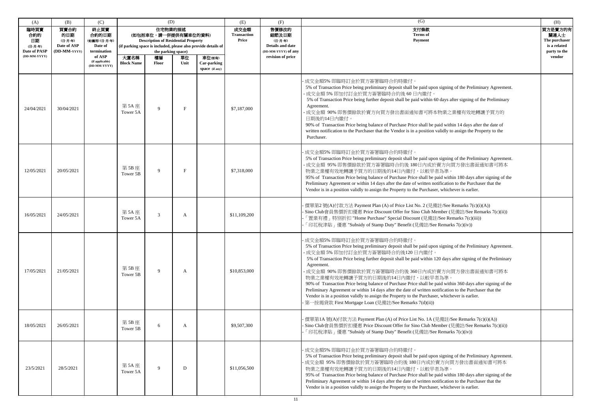| (A)                                                          | (B)                                                   | (C)                                                      |                    | (D)                                                                                                                                                                                                |      |                                                                                                             | (E)          | (F)                                | (G)                                                                                                                                                                                                                                                                                                                                                                                                                                                                                                                                                                                                                                                                                                                                                                                        | (H)    |
|--------------------------------------------------------------|-------------------------------------------------------|----------------------------------------------------------|--------------------|----------------------------------------------------------------------------------------------------------------------------------------------------------------------------------------------------|------|-------------------------------------------------------------------------------------------------------------|--------------|------------------------------------|--------------------------------------------------------------------------------------------------------------------------------------------------------------------------------------------------------------------------------------------------------------------------------------------------------------------------------------------------------------------------------------------------------------------------------------------------------------------------------------------------------------------------------------------------------------------------------------------------------------------------------------------------------------------------------------------------------------------------------------------------------------------------------------------|--------|
| 臨時買賣<br>合約的<br>日期<br>(日-月-年)<br>Date of PASP<br>(DD-MM-YYYY) | 買賣合約<br>的日期<br>(日-月-年)<br>Date of ASP<br>(DD-MM-YYYY) | 終止買賣<br>合約的日期<br>(如適用) (日-月-年)<br>Date of<br>termination |                    | 住宅物業的描述<br>(如包括車位,請一併提供有關車位的資料)<br><b>Description of Residential Property</b><br>(if parking space is included, please also provide details of<br>the parking space)<br>大廈名稱<br>樓層<br>車位(如有)<br>單位 |      | 售價修改的<br>成交金額<br><b>Transaction</b><br>細節及日期<br>Price<br>(日-月-年)<br>Details and date<br>(DD-MM-YYYY) of any |              | 支付條款<br><b>Terms</b> of<br>Payment | 買方是賣方的有<br>關連人士<br>The purchaser<br>is a related<br>party to the                                                                                                                                                                                                                                                                                                                                                                                                                                                                                                                                                                                                                                                                                                                           |        |
|                                                              |                                                       | of ASP<br>(if applicable)<br>(DD-MM-YYYY)                | <b>Block Name</b>  | <b>Floor</b>                                                                                                                                                                                       | Unit | Car-parking<br>space (if any)                                                                               |              | revision of price                  |                                                                                                                                                                                                                                                                                                                                                                                                                                                                                                                                                                                                                                                                                                                                                                                            | vendor |
| 24/04/2021                                                   | 30/04/2021                                            |                                                          | 第 5A 座<br>Tower 5A | 9                                                                                                                                                                                                  | F    |                                                                                                             | \$7,187,000  |                                    | 成交金額5% 即臨時訂金於買方簽署臨時合約時繳付。<br>5% of Transaction Price being preliminary deposit shall be paid upon signing of the Preliminary Agreement.<br>·成交金額 5% 即加付訂金於買方簽署臨時合約後 60日內繳付。<br>5% of Transaction Price being further deposit shall be paid within 60 days after signing of the Preliminary<br>Agreement.<br>·成交金額 90% 即售價餘款於賣方向買方發出書面通知書可將本物業之業權有效地轉讓予買方的<br>日期後的14日內繳付。<br>90% of Transaction Price being balance of Purchase Price shall be paid within 14 days after the date of<br>written notification to the Purchaser that the Vendor is in a position validly to assign the Property to the<br>Purchaser.                                                                                                                                                                          |        |
| 12/05/2021                                                   | 20/05/2021                                            |                                                          | 第 5B 座<br>Tower 5B | $\mathbf Q$                                                                                                                                                                                        | F    |                                                                                                             | \$7,318,000  |                                    | 成交金額5% 即臨時訂金於買方簽署臨時合約時繳付。<br>5% of Transaction Price being preliminary deposit shall be paid upon signing of the Preliminary Agreement.<br>- 成交金額 95% 即售價餘款於買方簽署臨時合約後 180日內或於賣方向買方發出書面通知書可將本<br>物業之業權有效地轉讓予買方的日期後的14日內繳付,以較早者為準。<br>95% of Transaction Price being balance of Purchase Price shall be paid within 180 days after signing of the<br>Preliminary Agreement or within 14 days after the date of written notification to the Purchaser that the<br>Vendor is in a position validly to assign the Property to the Purchaser, whichever is earlier.                                                                                                                                                                                                                              |        |
| 16/05/2021                                                   | 24/05/2021                                            |                                                          | 第 5A 座<br>Tower 5A | 3                                                                                                                                                                                                  | A    |                                                                                                             | \$11,109,200 |                                    | 價單第2號(A)付款方法 Payment Plan (A) of Price List No. 2 (見備註/See Remarks 7(c)(i)(A))<br>Sino Club會員售價折扣優惠 Price Discount Offer for Sino Club Member (見備註/See Remarks 7(c)(ii))<br>「置業有禮」特別折扣 "Home Purchase" Special Discount (見備註/See Remarks 7(c)(iii))<br>「印花稅津貼」優惠 "Subsidy of Stamp Duty" Benefit (見備註/See Remarks 7(c)(iv))                                                                                                                                                                                                                                                                                                                                                                                                                                                                |        |
| 17/05/2021                                                   | 21/05/2021                                            |                                                          | 第5B座<br>Tower 5B   | 9                                                                                                                                                                                                  | A    |                                                                                                             | \$10,853,000 |                                    | 成交金額5% 即臨時訂金於買方簽署臨時合約時繳付。<br>5% of Transaction Price being preliminary deposit shall be paid upon signing of the Preliminary Agreement.<br>- 成交金額 5% 即加付訂金於買方簽署臨時合約後120日內繳付。<br>5% of Transaction Price being further deposit shall be paid within 120 days after signing of the Preliminary<br>Agreement.<br>·成交金額 90% 即售價餘款於買方簽署臨時合約後 360日內或於賣方向買方發出書面通知書可將本<br>物業之業權有效地轉讓予買方的日期後的14日內繳付,以較早者為準。<br>90% of Transaction Price being balance of Purchase Price shall be paid within 360 days after signing of the<br>Preliminary Agreement or within 14 days after the date of written notification to the Purchaser that the<br>Vendor is in a position validly to assign the Property to the Purchaser, whichever is earlier.<br>· 第一按揭貸款 First Mortgage Loan (見備註/See Remarks 7(d)(ii)) |        |
| 18/05/2021                                                   | 26/05/2021                                            |                                                          | 第5B座<br>Tower 5B   | 6                                                                                                                                                                                                  | A    |                                                                                                             | \$9,507,300  |                                    | 價單第1A號(A)付款方法 Payment Plan (A) of Price List No. 1A (見備註/See Remarks 7(c)(i)(A))<br>· Sino Club會員售價折扣優惠 Price Discount Offer for Sino Club Member (見備註/See Remarks 7(c)(ii))<br>「印花稅津貼」優惠 "Subsidy of Stamp Duty" Benefit (見備註/See Remarks 7(c)(iv))                                                                                                                                                                                                                                                                                                                                                                                                                                                                                                                                       |        |
| 23/5/2021                                                    | 28/5/2021                                             |                                                          | 第 5A 座<br>Tower 5A | $\mathbf Q$                                                                                                                                                                                        | D    |                                                                                                             | \$11,056,500 |                                    | 成交金額5% 即臨時訂金於買方簽署臨時合約時繳付。<br>5% of Transaction Price being preliminary deposit shall be paid upon signing of the Preliminary Agreement.<br>成交金額 95% 即售價餘款於買方簽署臨時合約後 180日內或於賣方向買方發出書面通知書可將本<br>物業之業權有效地轉讓予買方的日期後的14日內繳付,以較早者為準。<br>95% of Transaction Price being balance of Purchase Price shall be paid within 180 days after signing of the<br>Preliminary Agreement or within 14 days after the date of written notification to the Purchaser that the<br>Vendor is in a position validly to assign the Property to the Purchaser, whichever is earlier.                                                                                                                                                                                                                                |        |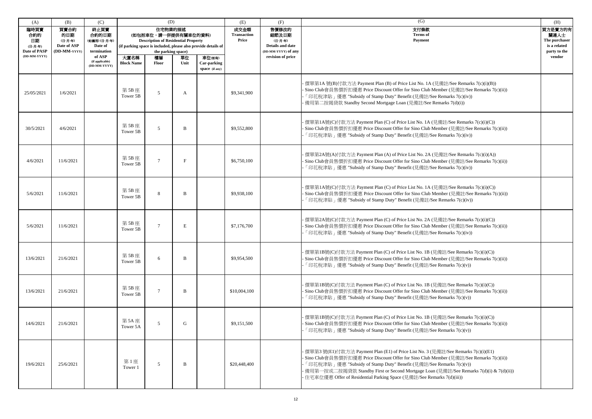| (A)                                          | (B)                                                   | (C)                                                      |                                                                                                                                                                                                    | (D)            |                                     |                                                                      | (E)                                       | (F)                                                              | (G)                                                                                                                                                                                                                                                                                                                                                                                                                          | (H)    |
|----------------------------------------------|-------------------------------------------------------|----------------------------------------------------------|----------------------------------------------------------------------------------------------------------------------------------------------------------------------------------------------------|----------------|-------------------------------------|----------------------------------------------------------------------|-------------------------------------------|------------------------------------------------------------------|------------------------------------------------------------------------------------------------------------------------------------------------------------------------------------------------------------------------------------------------------------------------------------------------------------------------------------------------------------------------------------------------------------------------------|--------|
| 臨時買賣<br>合約的<br>日期<br>(日-月-年)<br>Date of PASP | 買賣合約<br>的日期<br>(日-月-年)<br>Date of ASP<br>(DD-MM-YYYY) | 終止買賣<br>合約的日期<br>(如適用) (日-月-年)<br>Date of<br>termination | 住宅物業的描述<br>(如包括車位,請一併提供有關車位的資料)<br><b>Description of Residential Property</b><br>(if parking space is included, please also provide details of<br>the parking space)<br>大廈名稱<br>樓層<br>單位<br>車位(如有) |                | 成交金額<br><b>Transaction</b><br>Price | 售價修改的<br>細節及日期<br>(日-月-年)<br>Details and date<br>(DD-MM-YYYY) of any | 支付條款<br><b>Terms</b> of<br><b>Payment</b> | 買方是賣方的有<br>關連人士<br>The purchaser<br>is a related<br>party to the |                                                                                                                                                                                                                                                                                                                                                                                                                              |        |
| (DD-MM-YYYY)                                 |                                                       | of ASP<br>(if applicable)<br>(DD-MM-YYYY)                | <b>Block Name</b>                                                                                                                                                                                  | Floor          | Unit                                | Car-parking<br>space (if any)                                        |                                           | revision of price                                                |                                                                                                                                                                                                                                                                                                                                                                                                                              | vendor |
| 25/05/2021                                   | 1/6/2021                                              |                                                          | 第5B座<br>Tower 5B                                                                                                                                                                                   | 5              | A                                   |                                                                      | \$9,341,900                               |                                                                  | 價單第1A號(B)付款方法 Payment Plan (B) of Price List No. 1A (見備註/See Remarks 7(c)(i)(B))<br>· Sino Club會員售價折扣優惠 Price Discount Offer for Sino Club Member (見備註/See Remarks 7(c)(ii))<br>「印花稅津貼」優惠 "Subsidy of Stamp Duty" Benefit (見備註/See Remarks 7(c)(iv))<br>備用第二按揭貸款 Standby Second Mortgage Loan (見備註/See Remarks 7(d)(i))                                                                                                      |        |
| 30/5/2021                                    | 4/6/2021                                              |                                                          | 第 5B 座<br>Tower 5B                                                                                                                                                                                 | 5              | B                                   |                                                                      | \$9,552,800                               |                                                                  | 價單第1A號(C)付款方法 Payment Plan (C) of Price List No. 1A (見備註/See Remarks 7(c)(i)(C))<br>· Sino Club會員售價折扣優惠 Price Discount Offer for Sino Club Member (見備註/See Remarks 7(c)(ii))<br>「印花稅津貼」優惠 "Subsidy of Stamp Duty" Benefit (見備註/See Remarks 7(c)(iv))                                                                                                                                                                         |        |
| 4/6/2021                                     | 11/6/2021                                             |                                                          | 第 5B 座<br>Tower 5B                                                                                                                                                                                 | $\overline{7}$ |                                     |                                                                      | \$6,750,100                               |                                                                  | 價單第2A號(A)付款方法 Payment Plan (A) of Price List No. 2A (見備註/See Remarks 7(c)(i)(A))<br>· Sino Club會員售價折扣優惠 Price Discount Offer for Sino Club Member (見備註/See Remarks 7(c)(ii))<br>「印花稅津貼」優惠 "Subsidy of Stamp Duty" Benefit (見備註/See Remarks 7(c)(iv))                                                                                                                                                                         |        |
| 5/6/2021                                     | 11/6/2021                                             |                                                          | 第 5B 座<br>Tower 5B                                                                                                                                                                                 | 8              | B                                   |                                                                      | \$9,938,100                               |                                                                  | · 價單第1A號(C)付款方法 Payment Plan (C) of Price List No. 1A (見備註/See Remarks 7(c)(i)(C))<br>· Sino Club會員售價折扣優惠 Price Discount Offer for Sino Club Member (見備註/See Remarks 7(c)(ii))<br>「印花稅津貼」優惠 "Subsidy of Stamp Duty" Benefit (見備註/See Remarks 7(c)(iv))                                                                                                                                                                       |        |
| 5/6/2021                                     | 11/6/2021                                             |                                                          | 第 5B 座<br>Tower 5B                                                                                                                                                                                 | 7              | E                                   |                                                                      | \$7,176,700                               |                                                                  | 價單第2A號(C)付款方法 Payment Plan (C) of Price List No. 2A (見備註/See Remarks 7(c)(i)(C))<br>· Sino Club會員售價折扣優惠 Price Discount Offer for Sino Club Member (見備註/See Remarks 7(c)(ii))<br>「印花稅津貼」優惠 "Subsidy of Stamp Duty" Benefit (見備註/See Remarks 7(c)(iv))                                                                                                                                                                         |        |
| 13/6/2021                                    | 21/6/2021                                             |                                                          | 第5B座<br>Tower 5B                                                                                                                                                                                   | 6              | <sub>B</sub>                        |                                                                      | \$9,954,500                               |                                                                  | - 價單第1B號(C)付款方法 Payment Plan (C) of Price List No. 1B (見備註/See Remarks 7(c)(i)(C))<br>· Sino Club會員售價折扣優惠 Price Discount Offer for Sino Club Member (見備註/See Remarks 7(c)(ii))<br>「印花稅津貼」優惠 "Subsidy of Stamp Duty" Benefit (見備註/See Remarks 7(c)(v))                                                                                                                                                                        |        |
| 13/6/2021                                    | 21/6/2021                                             |                                                          | 第5B座<br>Tower 5B                                                                                                                                                                                   |                | B                                   |                                                                      | \$10,004,100                              |                                                                  | 價單第1B號(C)付款方法 Payment Plan (C) of Price List No. 1B (見備註/See Remarks 7(c)(i)(C))<br>· Sino Club會員售價折扣優惠 Price Discount Offer for Sino Club Member (見備註/See Remarks 7(c)(ii))<br>「印花稅津貼」優惠 "Subsidy of Stamp Duty" Benefit (見備註/See Remarks 7(c)(v))                                                                                                                                                                          |        |
| 14/6/2021                                    | 21/6/2021                                             |                                                          | 第 5A 座<br>Tower 5A                                                                                                                                                                                 | $\overline{5}$ | G                                   |                                                                      | \$9,151,500                               |                                                                  | · 價單第1B號(C)付款方法 Payment Plan (C) of Price List No. 1B (見備註/See Remarks 7(c)(i)(C))<br>· Sino Club會員售價折扣優惠 Price Discount Offer for Sino Club Member (見備註/See Remarks 7(c)(ii))<br>「印花稅津貼」優惠 "Subsidy of Stamp Duty" Benefit (見備註/See Remarks 7(c)(v))                                                                                                                                                                        |        |
| 19/6/2021                                    | 25/6/2021                                             |                                                          | 第1座<br>Tower 1                                                                                                                                                                                     | 5              | B                                   |                                                                      | \$20,448,400                              |                                                                  | · 價單第3 號(E1)付款方法 Payment Plan (E1) of Price List No. 3 (見備註/See Remarks 7(c)(i)(E1)<br>· Sino Club會員售價折扣優惠 Price Discount Offer for Sino Club Member (見備註/See Remarks 7(c)(ii))<br>「印花稅津貼」優惠 "Subsidy of Stamp Duty" Benefit (見備註/See Remarks 7(c)(v))<br>· 備用第一按或二按揭貸款 Standby First or Second Mortgage Loan (見備註/See Remarks 7(d)(i) & 7(d)(ii))<br>·住宅車位優惠 Offer of Residential Parking Space (見備註/See Remarks 7(d)(iii)) |        |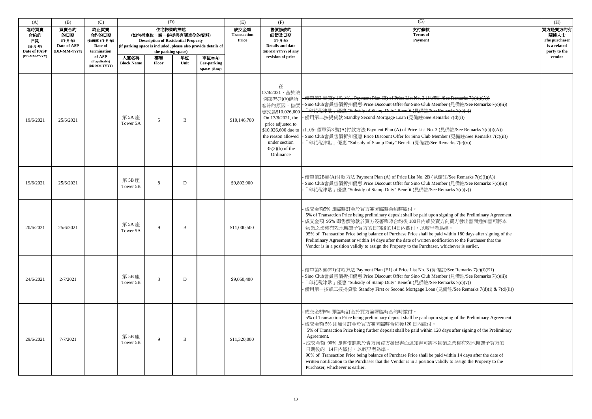| (A)                                                          | (B)                                                   | (C)                                                                |                                                                                                                                                                                                    | (D)            |                                     |                                                                                                  | (E)                                | (F)                                                                                                                                                                       | (G)                                                                                                                                                                                                                                                                                                                                                                                                                                                                                                                                                                                                                                           | (H) |
|--------------------------------------------------------------|-------------------------------------------------------|--------------------------------------------------------------------|----------------------------------------------------------------------------------------------------------------------------------------------------------------------------------------------------|----------------|-------------------------------------|--------------------------------------------------------------------------------------------------|------------------------------------|---------------------------------------------------------------------------------------------------------------------------------------------------------------------------|-----------------------------------------------------------------------------------------------------------------------------------------------------------------------------------------------------------------------------------------------------------------------------------------------------------------------------------------------------------------------------------------------------------------------------------------------------------------------------------------------------------------------------------------------------------------------------------------------------------------------------------------------|-----|
| 臨時買賣<br>合約的<br>日期<br>(日-月-年)<br>Date of PASP<br>(DD-MM-YYYY) | 買賣合約<br>的日期<br>(日-月-年)<br>Date of ASP<br>(DD-MM-YYYY) | 終止買賣<br>合約的日期<br>(如適用) (日-月-年)<br>Date of<br>termination<br>of ASP | 住宅物業的描述<br>(如包括車位,請一併提供有關車位的資料)<br><b>Description of Residential Property</b><br>(if parking space is included, please also provide details of<br>the parking space)<br>大廈名稱<br>樓層<br>車位(如有)<br>單位 |                | 成交金額<br><b>Transaction</b><br>Price | 售價修改的<br>細節及日期<br>(日-月-年)<br><b>Details and date</b><br>(DD-MM-YYYY) of any<br>revision of price | 支付條款<br><b>Terms</b> of<br>Payment | 買方是賣方的有<br>關連人士<br>The purchaser<br>is a related<br>party to the<br>vendor                                                                                                |                                                                                                                                                                                                                                                                                                                                                                                                                                                                                                                                                                                                                                               |     |
|                                                              |                                                       | (if applicable)<br>(DD-MM-YYYY)                                    | <b>Block Name</b>                                                                                                                                                                                  | <b>Floor</b>   | Unit                                | Car-parking<br>space (if any)                                                                    |                                    |                                                                                                                                                                           |                                                                                                                                                                                                                                                                                                                                                                                                                                                                                                                                                                                                                                               |     |
| 19/6/2021                                                    | 25/6/2021                                             |                                                                    | 第 5A 座<br>Tower 5A                                                                                                                                                                                 | 5              | B                                   |                                                                                                  | \$10,146,700                       | 在<br>17/8/2021, 基於法<br>例第35(2)(b)條所<br>更改為\$10,026,600<br>On 17/8/2021, the<br>price adjusted to<br>the reason allowed<br>under section<br>$35(2)(b)$ of the<br>Ordinance | - 價單第3 號(B)付款方法 Payment Plan (B) of Price List No. 3 (見備註/See Remarks 7(e)(i)(A))<br>容許的原因,售價 -Sino Club會員售價折扣優惠 Price Discount Offer for Sino Club Member (見備註/See Remarks 7(c)(ii))<br>「印花稅津貼」優惠 "Subsidy of Stamp Duty" Benefit (見備註/See Remarks 7(c)(v))<br>備用第二按揭貸款 Standby Second Mortgage Loan (見備註/See Remarks 7(d)(i))<br>\$10,026,600 due to  +J106- 價單第3號(A)付款方法 Payment Plan (A) of Price List No. 3 (見備註/See Remarks 7(c)(i)(A))<br>- Sino Club會員售價折扣優惠 Price Discount Offer for Sino Club Member (見備註/See Remarks 7(c)(ii))<br>「印花稅津貼」優惠 "Subsidy of Stamp Duty" Benefit (見備註/See Remarks 7(c)(v))                              |     |
| 19/6/2021                                                    | 25/6/2021                                             |                                                                    | 第5B座<br>Tower 5B                                                                                                                                                                                   | 8              | D                                   |                                                                                                  | \$9,802,900                        |                                                                                                                                                                           | - 價單第2B號(A)付款方法 Payment Plan (A) of Price List No. 2B (見備註/See Remarks 7(c)(i)(A))<br>- Sino Club會員售價折扣優惠 Price Discount Offer for Sino Club Member (見備註/See Remarks 7(c)(ii))<br>「印花稅津貼」優惠 "Subsidy of Stamp Duty" Benefit (見備註/See Remarks 7(c)(v))                                                                                                                                                                                                                                                                                                                                                                                         |     |
| 20/6/2021                                                    | 25/6/2021                                             |                                                                    | 第 5A 座<br>Tower 5A                                                                                                                                                                                 | $\mathbf Q$    | B                                   |                                                                                                  | \$11,000,500                       |                                                                                                                                                                           | 成交金額5% 即臨時訂金於買方簽署臨時合約時繳付。<br>5% of Transaction Price being preliminary deposit shall be paid upon signing of the Preliminary Agreement.<br>成交金額 95% 即售價餘款於買方簽署臨時合約後180日內或於賣方向買方發出書面通知書可將本<br>物業之業權有效地轉讓予買方的日期後的14日內繳付,以較早者為準。<br>95% of Transaction Price being balance of Purchase Price shall be paid within 180 days after signing of the<br>Preliminary Agreement or within 14 days after the date of written notification to the Purchaser that the<br>Vendor is in a position validly to assign the Property to the Purchaser, whichever is earlier.                                                                                    |     |
| 24/6/2021                                                    | 2/7/2021                                              |                                                                    | 第 5B 座<br>Tower 5B                                                                                                                                                                                 | $\mathfrak{Z}$ | D                                   |                                                                                                  | \$9,660,400                        |                                                                                                                                                                           | - 價單第3 號(E1)付款方法 Payment Plan (E1) of Price List No. 3 (見備註/See Remarks 7(c)(i)(E1)<br>- Sino Club會員售價折扣優惠 Price Discount Offer for Sino Club Member (見備註/See Remarks 7(c)(ii))<br>「印花稅津貼」優惠 "Subsidy of Stamp Duty" Benefit (見備註/See Remarks 7(c)(v))<br>· 備用第一按或二按揭貸款 Standby First or Second Mortgage Loan (見備註/See Remarks 7(d)(i) & 7(d)(ii))                                                                                                                                                                                                                                                                                            |     |
| 29/6/2021                                                    | 7/7/2021                                              |                                                                    | 第5B座<br>Tower 5B                                                                                                                                                                                   | 9              | B                                   |                                                                                                  | \$11,320,000                       |                                                                                                                                                                           | 成交金額5% 即臨時訂金於買方簽署臨時合約時繳付。<br>5% of Transaction Price being preliminary deposit shall be paid upon signing of the Preliminary Agreement.<br>成交金額5%即加付訂金於買方簽署臨時合約後120日內繳付。<br>5% of Transaction Price being further deposit shall be paid within 120 days after signing of the Preliminary<br>Agreement.<br>·成交金額 90% 即售價餘款於賣方向買方發出書面通知書可將本物業之業權有效地轉讓予買方的<br>日期後的 14日內繳付,以較早者為準。<br>90% of Transaction Price being balance of Purchase Price shall be paid within 14 days after the date of<br>written notification to the Purchaser that the Vendor is in a position validly to assign the Property to the<br>Purchaser, whichever is earlier. |     |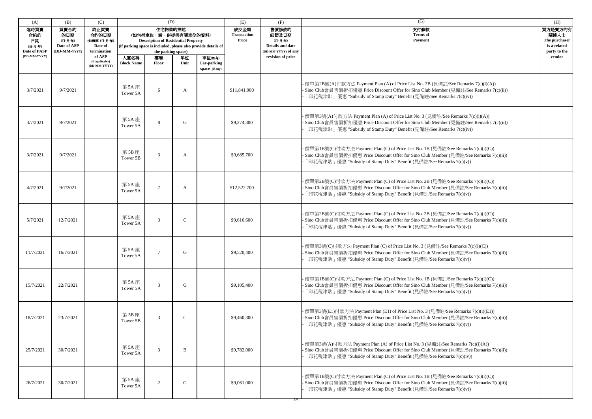| (A)                                                                                                                                                               | (B)       | (C)                                                                                                                                                                  |                           | (D)            |               |                                                                                                             | (E)                                       | (F)                                                              | (G)                                                                                                                                                                                                                                                 | (H)    |
|-------------------------------------------------------------------------------------------------------------------------------------------------------------------|-----------|----------------------------------------------------------------------------------------------------------------------------------------------------------------------|---------------------------|----------------|---------------|-------------------------------------------------------------------------------------------------------------|-------------------------------------------|------------------------------------------------------------------|-----------------------------------------------------------------------------------------------------------------------------------------------------------------------------------------------------------------------------------------------------|--------|
| 臨時買賣<br>買賣合約<br>終止買賣<br>合約的日期<br>合約的<br>的日期<br>日期<br>(如適用) (日-月-年)<br>(日-月-年)<br>Date of ASP<br>Date of<br>(日-月-年)<br>Date of PASP<br>(DD-MM-YYYY)<br>termination |           | 住宅物業的描述<br>(如包括車位,請一併提供有關車位的資料)<br><b>Description of Residential Property</b><br>(if parking space is included, please also provide details of<br>the parking space) |                           |                |               | 售價修改的<br>成交金額<br><b>Transaction</b><br>細節及日期<br>Price<br>(日-月-年)<br>Details and date<br>(DD-MM-YYYY) of any | 支付條款<br><b>Terms</b> of<br><b>Payment</b> | 買方是賣方的有<br>關連人士<br>The purchaser<br>is a related<br>party to the |                                                                                                                                                                                                                                                     |        |
| (DD-MM-YYYY)                                                                                                                                                      |           | of ASP<br>(if applicable)<br>(DD-MM-YYYY)                                                                                                                            | 大廈名稱<br><b>Block Name</b> | 樓層<br>Floor    | 單位<br>Unit    | 車位(如有)<br><b>Car-parking</b><br>space (if any)                                                              |                                           | revision of price                                                |                                                                                                                                                                                                                                                     | vendor |
| 3/7/2021                                                                                                                                                          | 9/7/2021  |                                                                                                                                                                      | 第 5A 座<br>Tower 5A        | 6              | A             |                                                                                                             | \$11,841,900                              |                                                                  | 價單第2B號(A)付款方法 Payment Plan (A) of Price List No. 2B (見備註/See Remarks 7(c)(i)(A))<br>Sino Club會員售價折扣優惠 Price Discount Offer for Sino Club Member (見備註/See Remarks 7(c)(ii))<br>「印花稅津貼」優惠 "Subsidy of Stamp Duty" Benefit (見備註/See Remarks 7(c)(iv))  |        |
| 3/7/2021                                                                                                                                                          | 9/7/2021  |                                                                                                                                                                      | 第 5A 座<br>Tower 5A        | 8              | G             |                                                                                                             | \$9,274,300                               |                                                                  | 價單第3號(A)付款方法 Payment Plan (A) of Price List No. 3 (見備註/See Remarks 7(c)(i)(A))<br>Sino Club會員售價折扣優惠 Price Discount Offer for Sino Club Member (見備註/See Remarks 7(c)(ii))<br>「印花稅津貼」優惠 "Subsidy of Stamp Duty" Benefit (見備註/See Remarks 7(c)(iv))    |        |
| 3/7/2021                                                                                                                                                          | 9/7/2021  |                                                                                                                                                                      | 第 5B 座<br>Tower 5B        | 3              | A             |                                                                                                             | \$9,685,700                               |                                                                  | 價單第1B號(C)付款方法 Payment Plan (C) of Price List No. 1B (見備註/See Remarks 7(c)(i)(C))<br>Sino Club會員售價折扣優惠 Price Discount Offer for Sino Club Member (見備註/See Remarks 7(c)(ii))<br>「印花稅津貼」優惠 "Subsidy of Stamp Duty" Benefit (見備註/See Remarks 7(c)(v))   |        |
| 4/7/2021                                                                                                                                                          | 9/7/2021  |                                                                                                                                                                      | 第 5A 座<br>Tower 5A        | $\tau$         | A             |                                                                                                             | \$12,522,700                              |                                                                  | 價單第2B號(C)付款方法 Payment Plan (C) of Price List No. 2B (見備註/See Remarks 7(c)(i)(C))<br>· Sino Club會員售價折扣優惠 Price Discount Offer for Sino Club Member (見備註/See Remarks 7(c)(ii))<br>「印花稅津貼」優惠 "Subsidy of Stamp Duty" Benefit (見備註/See Remarks 7(c)(v)) |        |
| 5/7/2021                                                                                                                                                          | 12/7/2021 |                                                                                                                                                                      | 第 5A 座<br>Tower 5A        | 3              | $\mathbf C$   |                                                                                                             | \$9,616,600                               |                                                                  | 價單第2B號(C)付款方法 Payment Plan (C) of Price List No. 2B (見備註/See Remarks 7(c)(i)(C))<br>Sino Club會員售價折扣優惠 Price Discount Offer for Sino Club Member (見備註/See Remarks 7(c)(ii))<br>「印花稅津貼」優惠 "Subsidy of Stamp Duty" Benefit (見備註/See Remarks 7(c)(v))   |        |
| 11/7/2021                                                                                                                                                         | 16/7/2021 |                                                                                                                                                                      | 第 5A 座<br>Tower 5A        |                | G             |                                                                                                             | \$9,520,400                               |                                                                  | 價單第3號(C)付款方法 Payment Plan (C) of Price List No. 3 (見備註/See Remarks 7(c)(i)(C))<br>- Sino Club會員售價折扣優惠 Price Discount Offer for Sino Club Member (見備註/See Remarks 7(c)(ii))<br>「印花稅津貼」優惠 "Subsidy of Stamp Duty" Benefit (見備註/See Remarks 7(c)(v))   |        |
| 15/7/2021                                                                                                                                                         | 22/7/2021 |                                                                                                                                                                      | 第 5A 座<br>Tower 5A        | 3              | G             |                                                                                                             | \$9,105,400                               |                                                                  | 價單第1B號(C)付款方法 Payment Plan (C) of Price List No. 1B (見備註/See Remarks 7(c)(i)(C))<br>Sino Club會員售價折扣優惠 Price Discount Offer for Sino Club Member (見備註/See Remarks 7(c)(ii))<br>「印花稅津貼」優惠 "Subsidy of Stamp Duty" Benefit (見備註/See Remarks 7(c)(v))   |        |
| 18/7/2021                                                                                                                                                         | 23/7/2021 |                                                                                                                                                                      | 第 5B 座<br>Tower 5B        | $\mathcal{R}$  | $\mathcal{C}$ |                                                                                                             | \$9,460,300                               |                                                                  | 價單第3號(E1)付款方法 Payment Plan (E1) of Price List No. 3 (見備註/See Remarks 7(c)(i)(E1))<br>Sino Club會員售價折扣優惠 Price Discount Offer for Sino Club Member (見備註/See Remarks 7(c)(ii))<br>「印花稅津貼」優惠 "Subsidy of Stamp Duty" Benefit (見備註/See Remarks 7(c)(v))  |        |
| 25/7/2021                                                                                                                                                         | 30/7/2021 |                                                                                                                                                                      | 第 5A 座<br>Tower 5A        | 3              | B             |                                                                                                             | \$9,782,000                               |                                                                  | 價單第3號(A)付款方法 Payment Plan (A) of Price List No. 3 (見備註/See Remarks 7(c)(i)(A))<br>Sino Club會員售價折扣優惠 Price Discount Offer for Sino Club Member (見備註/See Remarks 7(c)(ii))<br>「印花稅津貼」優惠 "Subsidy of Stamp Duty" Benefit (見備註/See Remarks 7(c)(iv))    |        |
| 26/7/2021                                                                                                                                                         | 30/7/2021 |                                                                                                                                                                      | 第 5A 座<br>Tower 5A        | $\overline{2}$ | G             |                                                                                                             | \$9,061,000                               |                                                                  | 價單第1B號(C)付款方法 Payment Plan (C) of Price List No. 1B (見備註/See Remarks 7(c)(i)(C))<br>Sino Club會員售價折扣優惠 Price Discount Offer for Sino Club Member (見備註/See Remarks 7(c)(ii))<br>「印花稅津貼」優惠 "Subsidy of Stamp Duty" Benefit (見備註/See Remarks 7(c)(v))   |        |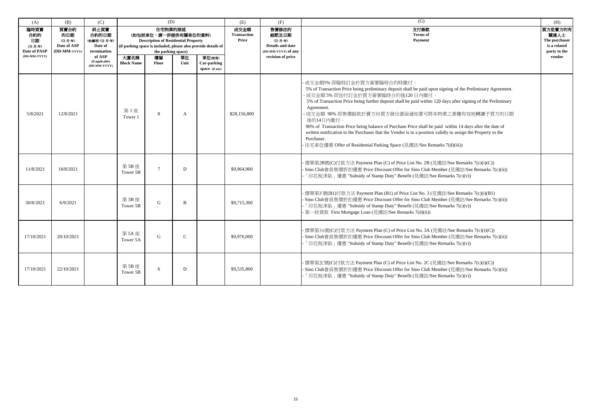| (A)                                                          | (B)                                                   | (C)                                                      | (D)                                                                                                                                                                  |              |               |                                         | (E)                                 | (F)                                                                  | (G)                                                                                                                                                                                                                                                                                                                                                                                                                                                                                                                                                                                                                                                                                       | (H)                                                              |
|--------------------------------------------------------------|-------------------------------------------------------|----------------------------------------------------------|----------------------------------------------------------------------------------------------------------------------------------------------------------------------|--------------|---------------|-----------------------------------------|-------------------------------------|----------------------------------------------------------------------|-------------------------------------------------------------------------------------------------------------------------------------------------------------------------------------------------------------------------------------------------------------------------------------------------------------------------------------------------------------------------------------------------------------------------------------------------------------------------------------------------------------------------------------------------------------------------------------------------------------------------------------------------------------------------------------------|------------------------------------------------------------------|
| 臨時買賣<br>合約的<br>日期<br>(日-月-年)<br>Date of PASP<br>(DD-MM-YYYY) | 買賣合約<br>的日期<br>(日-月-年)<br>Date of ASP<br>(DD-MM-YYYY) | 終止買賣<br>合約的日期<br>(如適用) (日-月-年)<br>Date of<br>termination | 住宅物業的描述<br>(如包括車位,請一併提供有關車位的資料)<br><b>Description of Residential Property</b><br>(if parking space is included, please also provide details of<br>the parking space) |              |               |                                         | 成交金額<br><b>Transaction</b><br>Price | 售價修改的<br>細節及日期<br>(日-月-年)<br>Details and date<br>(DD-MM-YYYY) of any | 支付條款<br><b>Terms</b> of<br>Payment                                                                                                                                                                                                                                                                                                                                                                                                                                                                                                                                                                                                                                                        | 買方是賣方的有<br>關連人士<br>The purchaser<br>is a related<br>party to the |
|                                                              |                                                       | of ASP<br>(if applicable)<br>(DD-MM-YYYY)                | 大廈名稱<br><b>Block Name</b>                                                                                                                                            | 樓層<br>Floor  | 單位<br>Unit    | 車位(如有)<br>Car-parking<br>space (if any) |                                     | revision of price                                                    |                                                                                                                                                                                                                                                                                                                                                                                                                                                                                                                                                                                                                                                                                           | vendor                                                           |
| 5/8/2021                                                     | 12/8/2021                                             |                                                          | 第1座<br>Tower 1                                                                                                                                                       | 8            | A             |                                         | \$28,156,800                        |                                                                      | 成交金額5% 即臨時訂金於買方簽署臨時合約時繳付。<br>5% of Transaction Price being preliminary deposit shall be paid upon signing of the Preliminary Agreement.<br>成交金額 5% 即加付訂金於買方簽署臨時合約後120日內繳付。<br>5% of Transaction Price being further deposit shall be paid within 120 days after signing of the Preliminary<br>Agreement.<br>成交金額 90% 即售價餘款於賣方向買方發出書面通知書可將本物業之業權有效地轉讓予買方的日期<br>後的14日內繳付。<br>90% of Transaction Price being balance of Purchase Price shall be paid within 14 days after the date of<br>written notification to the Purchaser that the Vendor is in a position validly to assign the Property to the<br>Purchaser.<br>住宅車位優惠 Offer of Residential Parking Space (見備註/See Remarks 7(d)(iii)) |                                                                  |
| 11/8/2021                                                    | 18/8/2021                                             |                                                          | 第5B座<br>Tower 5B                                                                                                                                                     | 7            | D             |                                         | \$9,964,900                         |                                                                      | 價單第2B號(C)付款方法 Payment Plan (C) of Price List No. 2B (見備註/See Remarks 7(c)(i)(C))<br>· Sino Club會員售價折扣優惠 Price Discount Offer for Sino Club Member (見備註/See Remarks 7(c)(ii))<br>「印花稅津貼」優惠 "Subsidy of Stamp Duty" Benefit (見備註/See Remarks 7(c)(v))                                                                                                                                                                                                                                                                                                                                                                                                                                       |                                                                  |
| 30/8/2021                                                    | 6/9/2021                                              |                                                          | 第5B座<br>Tower 5B                                                                                                                                                     | G            | B             |                                         | \$9,715,300                         |                                                                      | 價單第3號(B1)付款方法 Payment Plan (B1) of Price List No. 3 (見備註/See Remarks 7(c)(i)(B1)<br>· Sino Club會員售價折扣優惠 Price Discount Offer for Sino Club Member (見備註/See Remarks 7(c)(ii))<br>「印花稅津貼」優惠 "Subsidy of Stamp Duty" Benefit (見備註/See Remarks 7(c)(v))<br>· 第一按貸款 First Mortgage Loan (見備註/See Remarks 7(d)(ii))                                                                                                                                                                                                                                                                                                                                                                             |                                                                  |
| 17/10/2021                                                   | 20/10/2021                                            |                                                          | 第5A座<br>Tower 5A                                                                                                                                                     | $\mathbf{G}$ | $\mathcal{C}$ |                                         | \$9,976,000                         |                                                                      | · 價單第3A號(C)付款方法 Payment Plan (C) of Price List No. 3A (見備註/See Remarks 7(c)(i)(C))<br>· Sino Club會員售價折扣優惠 Price Discount Offer for Sino Club Member (見備註/See Remarks 7(c)(ii))<br>「印花稅津貼」優惠 "Subsidy of Stamp Duty" Benefit (見備註/See Remarks 7(c)(v))                                                                                                                                                                                                                                                                                                                                                                                                                                     |                                                                  |
| 17/10/2021                                                   | 22/10/2021                                            |                                                          | 第5B座<br>Tower 5B                                                                                                                                                     | 6            | D             |                                         | \$9,535,800                         |                                                                      | 價單第2C號(C)付款方法 Payment Plan (C) of Price List No. 2C (見備註/See Remarks 7(c)(i)(C))<br>· Sino Club會員售價折扣優惠 Price Discount Offer for Sino Club Member (見備註/See Remarks 7(c)(ii))<br>「印花稅津貼」優惠 "Subsidy of Stamp Duty" Benefit (見備註/See Remarks 7(c)(v))                                                                                                                                                                                                                                                                                                                                                                                                                                       |                                                                  |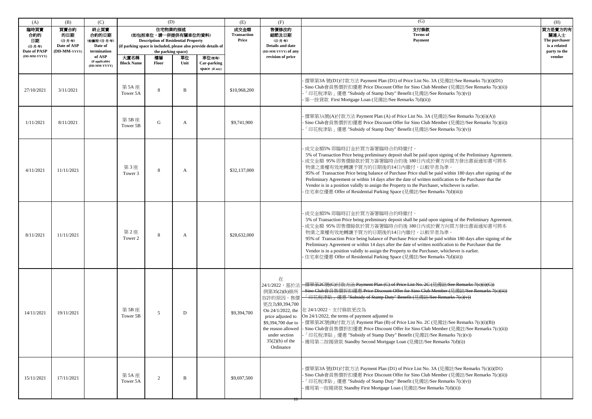| (A)                                                          | (B)                                                   | (C)                                                                                                  | (D)                       |                                                                                                                           |            |                                                                                                          | (E)                                 | (F)                                                                                                                                            | (G)                                                                                                                                                                                                                                                                                                                                                                                                                                                                                                                                                                                                                                                                                                                    | (H)                                                                        |
|--------------------------------------------------------------|-------------------------------------------------------|------------------------------------------------------------------------------------------------------|---------------------------|---------------------------------------------------------------------------------------------------------------------------|------------|----------------------------------------------------------------------------------------------------------|-------------------------------------|------------------------------------------------------------------------------------------------------------------------------------------------|------------------------------------------------------------------------------------------------------------------------------------------------------------------------------------------------------------------------------------------------------------------------------------------------------------------------------------------------------------------------------------------------------------------------------------------------------------------------------------------------------------------------------------------------------------------------------------------------------------------------------------------------------------------------------------------------------------------------|----------------------------------------------------------------------------|
| 臨時買賣<br>合約的<br>日期<br>(日-月-年)<br>Date of PASP<br>(DD-MM-YYYY) | 買賣合約<br>的日期<br>(日-月-年)<br>Date of ASP<br>(DD-MM-YYYY) | 終止買賣<br>合約的日期<br>(如適用)(日-月-年)<br>Date of<br>termination<br>of ASP<br>(if applicable)<br>(DD-MM-YYYY) | 大廈名稱<br><b>Block Name</b> | 住宅物業的描述<br>(如包括車位,請一併提供有關車位的資料)<br><b>Description of Residential Property</b><br>the parking space)<br>樓層<br><b>Floor</b> | 單位<br>Unit | (if parking space is included, please also provide details of<br>車位(如有)<br>Car-parking<br>space (if any) | 成交金額<br><b>Transaction</b><br>Price | 售價修改的<br>細節及日期<br>(日-月-年)<br><b>Details and date</b><br>(DD-MM-YYYY) of any<br>revision of price                                               | 支付條款<br><b>Terms</b> of<br><b>Payment</b>                                                                                                                                                                                                                                                                                                                                                                                                                                                                                                                                                                                                                                                                              | 買方是賣方的有<br>關連人士<br>The purchaser<br>is a related<br>party to the<br>vendor |
| 27/10/2021                                                   | 3/11/2021                                             |                                                                                                      | 第 5A 座<br>Tower 5A        | 8                                                                                                                         | B          |                                                                                                          | \$10,968,200                        |                                                                                                                                                | · 價單第3A 號(D1)付款方法 Payment Plan (D1) of Price List No. 3A (見備註/See Remarks 7(c)(i)(D1)<br>- Sino Club會員售價折扣優惠 Price Discount Offer for Sino Club Member (見備註/See Remarks 7(c)(ii))<br>「印花稅津貼」優惠 "Subsidy of Stamp Duty" Benefit (見備註/See Remarks 7(c)(v))<br>- 第一按貸款 First Mortgage Loan (見備註/See Remarks 7(d)(ii))                                                                                                                                                                                                                                                                                                                                                                                                     |                                                                            |
| 1/11/2021                                                    | 8/11/2021                                             |                                                                                                      | 第 5B 座<br>Tower 5B        | $\mathbf G$                                                                                                               | A          |                                                                                                          | \$9,741,900                         |                                                                                                                                                | 價單第3A號(A)付款方法 Payment Plan (A) of Price List No. 3A (見備註/See Remarks 7(c)(i)(A))<br>Sino Club會員售價折扣優惠 Price Discount Offer for Sino Club Member (見備註/See Remarks 7(c)(ii))<br>「印花稅津貼」優惠 "Subsidy of Stamp Duty" Benefit (見備註/See Remarks 7(c)(v))                                                                                                                                                                                                                                                                                                                                                                                                                                                                      |                                                                            |
| 4/11/2021                                                    | 11/11/2021                                            |                                                                                                      | 第3座<br>Tower 3            | 8                                                                                                                         | A          |                                                                                                          | \$32,137,000                        |                                                                                                                                                | 成交金額5% 即臨時訂金於買方簽署臨時合約時繳付。<br>5% of Transaction Price being preliminary deposit shall be paid upon signing of the Preliminary Agreement.<br>成交金額 95% 即售價餘款於買方簽署臨時合約後180日內或於賣方向買方發出書面通知書可將本<br>物業之業權有效地轉讓予買方的日期後的14日內繳付,以較早者為準。<br>95% of Transaction Price being balance of Purchase Price shall be paid within 180 days after signing of the<br>Preliminary Agreement or within 14 days after the date of written notification to the Purchaser that the<br>Vendor is in a position validly to assign the Property to the Purchaser, whichever is earlier.<br>住宅車位優惠 Offer of Residential Parking Space (見備註/See Remarks 7(d)(iii))                                                                                    |                                                                            |
| 8/11/2021                                                    | 11/11/2021                                            |                                                                                                      | 第2座<br>Tower 2            | 8                                                                                                                         | A          |                                                                                                          | \$28,632,000                        |                                                                                                                                                | 成交金額5% 即臨時訂金於買方簽署臨時合約時繳付。<br>5% of Transaction Price being preliminary deposit shall be paid upon signing of the Preliminary Agreement.<br>成交金額 95% 即售價餘款於買方簽署臨時合約後 180日內或於賣方向買方發出書面通知書可將本<br>物業之業權有效地轉讓予買方的日期後的14日內繳付,以較早者為準。<br>95% of Transaction Price being balance of Purchase Price shall be paid within 180 days after signing of the<br>Preliminary Agreement or within 14 days after the date of written notification to the Purchaser that the<br>Vendor is in a position validly to assign the Property to the Purchaser, whichever is earlier.<br>· 住宅車位優惠 Offer of Residential Parking Space (見備註/See Remarks 7(d)(iii))                                                                                 |                                                                            |
| 14/11/2021                                                   | 19/11/2021                                            |                                                                                                      | 第5B座<br>Tower 5B          | 5                                                                                                                         | D          |                                                                                                          | \$9,394,700                         | 在<br>例第35(2)(b)條所<br>容許的原因,售價<br>更改為\$9,394,700<br>\$9,394,700 due to<br>the reason allowed<br>under section<br>$35(2)(b)$ of the<br>Ordinance | 24/1/2022,基於法-價單第2C號(C)付款方法 Payment Plan (C) of Price List No. 2C (見備註/See Remarks 7(e)(i)(C))<br>- Sino Club會員售價折扣優惠 Price Discount Offer for Sino Club Member (見備註/See Remarks 7(e)(ii))<br>- 「印花稅津貼」優惠 "Subsidy of Stamp Duty" Benefit (見備註/See Remarks 7(e)(v))<br>On 24/1/2022, the 在 24/1/2022, 支付條款更改為<br>price adjusted to $\int$ On 24/1/2022, the terms of payment adjusted to<br>- 價單第2C號(B)付款方法 Payment Plan (B) of Price List No. 2C (見備註/See Remarks 7(c)(i)(B))<br>· Sino Club會員售價折扣優惠 Price Discount Offer for Sino Club Member (見備註/See Remarks 7(c)(ii))<br>「印花稅津貼」優惠 "Subsidy of Stamp Duty" Benefit (見備註/See Remarks 7(c)(v))<br>- 備用第二按揭貸款 Standby Second Mortgage Loan (見備註/See Remarks 7(d)(i)) |                                                                            |
| 15/11/2021                                                   | 17/11/2021                                            |                                                                                                      | 第 5A 座<br>Tower 5A        | 2                                                                                                                         | B          |                                                                                                          | \$9,697,500                         |                                                                                                                                                | · 價單第3A 號(D1)付款方法 Payment Plan (D1) of Price List No. 3A (見備註/See Remarks 7(c)(i)(D1)<br>· Sino Club會員售價折扣優惠 Price Discount Offer for Sino Club Member (見備註/See Remarks 7(c)(ii))<br>「印花稅津貼」優惠 "Subsidy of Stamp Duty" Benefit (見備註/See Remarks 7(c)(v))<br>- 備用第一按揭貸款 Standby First Mortgage Loan (見備註/See Remarks 7(d)(ii))                                                                                                                                                                                                                                                                                                                                                                                          |                                                                            |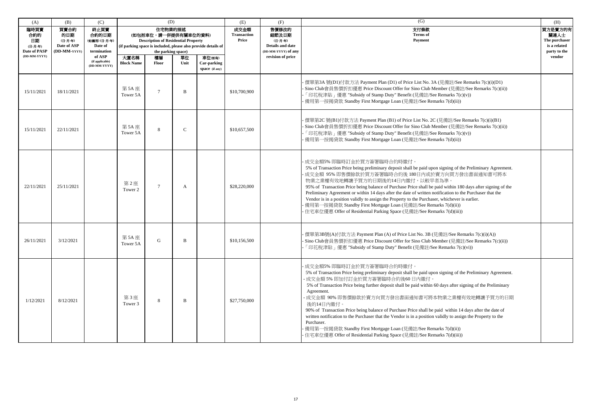| (A)                                                          | (B)                                                   | (C)                                                      | (D)                                                                                                                                                                  |                    |                                     |                                                                                           | (E)                                | (F)                                                              | (G)                                                                                                                                                                                                                                                                                                                                                                                                                                                                                                                                                                                                                                                                                                                                                            | (H)    |
|--------------------------------------------------------------|-------------------------------------------------------|----------------------------------------------------------|----------------------------------------------------------------------------------------------------------------------------------------------------------------------|--------------------|-------------------------------------|-------------------------------------------------------------------------------------------|------------------------------------|------------------------------------------------------------------|----------------------------------------------------------------------------------------------------------------------------------------------------------------------------------------------------------------------------------------------------------------------------------------------------------------------------------------------------------------------------------------------------------------------------------------------------------------------------------------------------------------------------------------------------------------------------------------------------------------------------------------------------------------------------------------------------------------------------------------------------------------|--------|
| 臨時買賣<br>合約的<br>日期<br>(日-月-年)<br>Date of PASP<br>(DD-MM-YYYY) | 買賣合約<br>的日期<br>(日-月-年)<br>Date of ASP<br>(DD-MM-YYYY) | 終止買賣<br>合約的日期<br>(如適用) (日-月-年)<br>Date of<br>termination | 住宅物業的描述<br>(如包括車位,請一併提供有關車位的資料)<br><b>Description of Residential Property</b><br>(if parking space is included, please also provide details of<br>the parking space) |                    | 成交金額<br><b>Transaction</b><br>Price | 售價修改的<br>細節及日期<br>(日-月-年)<br>Details and date<br>(DD-MM-YYYY) of any<br>revision of price | 支付條款<br><b>Terms</b> of<br>Payment | 買方是賣方的有<br>關連人士<br>The purchaser<br>is a related<br>party to the |                                                                                                                                                                                                                                                                                                                                                                                                                                                                                                                                                                                                                                                                                                                                                                |        |
|                                                              |                                                       | of ASP<br>(if applicable)<br>(DD-MM-YYYY)                | 大廈名稱<br><b>Block Name</b>                                                                                                                                            | 樓層<br><b>Floor</b> | 單位<br>Unit                          | 車位(如有)<br>Car-parking<br>space (if any)                                                   |                                    |                                                                  |                                                                                                                                                                                                                                                                                                                                                                                                                                                                                                                                                                                                                                                                                                                                                                | vendor |
| 15/11/2021                                                   | 18/11/2021                                            |                                                          | 第 5A 座<br>Tower 5A                                                                                                                                                   | $\overline{ }$     | B                                   |                                                                                           | \$10,700,900                       |                                                                  | · 價單第3A 號(D1)付款方法 Payment Plan (D1) of Price List No. 3A (見備註/See Remarks 7(c)(i)(D1)<br>- Sino Club會員售價折扣優惠 Price Discount Offer for Sino Club Member (見備註/See Remarks 7(c)(ii))<br>「印花稅津貼」優惠 "Subsidy of Stamp Duty" Benefit (見備註/See Remarks 7(c)(v))<br>- 備用第一按揭貸款 Standby First Mortgage Loan (見備註/See Remarks 7(d)(ii))                                                                                                                                                                                                                                                                                                                                                                                                                                  |        |
| 15/11/2021                                                   | 22/11/2021                                            |                                                          | 第 5A 座<br>Tower 5A                                                                                                                                                   | 8                  | $\mathcal{C}$                       |                                                                                           | \$10,657,500                       |                                                                  | - 價單第2C號(B1)付款方法 Payment Plan (B1) of Price List No. 2C (見備註/See Remarks 7(c)(i)(B1)<br>- Sino Club會員售價折扣優惠 Price Discount Offer for Sino Club Member (見備註/See Remarks 7(c)(ii))<br>「印花稅津貼」優惠 "Subsidy of Stamp Duty" Benefit (見備註/See Remarks 7(c)(v))<br>- 備用第一按揭貸款 Standby First Mortgage Loan (見備註/See Remarks 7(d)(ii))                                                                                                                                                                                                                                                                                                                                                                                                                                   |        |
| 22/11/2021                                                   | 25/11/2021                                            |                                                          | 第2座<br>Tower 2                                                                                                                                                       | $\tau$             | A                                   |                                                                                           | \$28,220,000                       |                                                                  | ·成交金額5% 即臨時訂金於買方簽署臨時合約時繳付。<br>5% of Transaction Price being preliminary deposit shall be paid upon signing of the Preliminary Agreement.<br>成交金額 95% 即售價餘款於買方簽署臨時合約後 180日內或於賣方向買方發出書面通知書可將本<br>物業之業權有效地轉讓予買方的日期後的14日內繳付,以較早者為準。<br>95% of Transaction Price being balance of Purchase Price shall be paid within 180 days after signing of the<br>Preliminary Agreement or within 14 days after the date of written notification to the Purchaser that the<br>Vendor is in a position validly to assign the Property to the Purchaser, whichever is earlier.<br>備用第一按揭貸款 Standby First Mortgage Loan (見備註/See Remarks 7(d)(ii))<br>住宅車位優惠 Offer of Residential Parking Space (見備註/See Remarks 7(d)(iii))                                                       |        |
| 26/11/2021                                                   | 3/12/2021                                             |                                                          | 第 5A 座<br>Tower 5A                                                                                                                                                   | G                  | B                                   |                                                                                           | \$10,156,500                       |                                                                  | - 價單第3B號(A)付款方法 Payment Plan (A) of Price List No. 3B (見備註/See Remarks 7(c)(i)(A))<br>- Sino Club會員售價折扣優惠 Price Discount Offer for Sino Club Member (見備註/See Remarks 7(c)(ii))<br>「印花稅津貼」優惠 "Subsidy of Stamp Duty" Benefit (見備註/See Remarks 7(c)(vi))                                                                                                                                                                                                                                                                                                                                                                                                                                                                                                         |        |
| 1/12/2021                                                    | 8/12/2021                                             |                                                          | 第3座<br>Tower 3                                                                                                                                                       | 8                  | B                                   |                                                                                           | \$27,750,000                       |                                                                  | 成交金額5% 即臨時訂金於買方簽署臨時合約時繳付。<br>5% of Transaction Price being preliminary deposit shall be paid upon signing of the Preliminary Agreement.<br>- 成交金額 5% 即加付訂金於買方簽署臨時合約後60日內繳付。<br>5% of Transaction Price being further deposit shall be paid within 60 days after signing of the Preliminary<br>Agreement.<br>- 成交金額 90% 即售價餘款於賣方向買方發出書面通知書可將本物業之業權有效地轉讓予買方的日期<br>後的14日內繳付。<br>90% of Transaction Price being balance of Purchase Price shall be paid within 14 days after the date of<br>written notification to the Purchaser that the Vendor is in a position validly to assign the Property to the<br>Purchaser.<br>備用第一按揭貸款 Standby First Mortgage Loan (見備註/See Remarks 7(d)(ii))<br>住宅車位優惠 Offer of Residential Parking Space (見備註/See Remarks 7(d)(iii)) |        |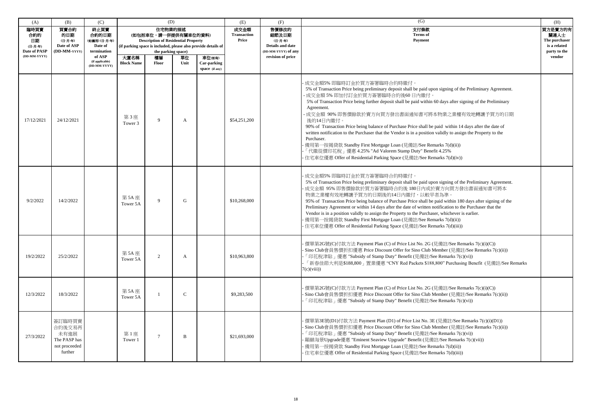| (A)                                                                 | (B)                                                                  | (C)                                                                                                  |                           | (D)                                                                                                                       |             |                                                                                                          | (E)                                 | (F)                                                                                              | (G)                                                                                                                                                                                                                                                                                                                                                                                                                                                                                                                                                                                                                                                                                                                                                                                                                   | (H)                                                                        |
|---------------------------------------------------------------------|----------------------------------------------------------------------|------------------------------------------------------------------------------------------------------|---------------------------|---------------------------------------------------------------------------------------------------------------------------|-------------|----------------------------------------------------------------------------------------------------------|-------------------------------------|--------------------------------------------------------------------------------------------------|-----------------------------------------------------------------------------------------------------------------------------------------------------------------------------------------------------------------------------------------------------------------------------------------------------------------------------------------------------------------------------------------------------------------------------------------------------------------------------------------------------------------------------------------------------------------------------------------------------------------------------------------------------------------------------------------------------------------------------------------------------------------------------------------------------------------------|----------------------------------------------------------------------------|
| 臨時買賣<br>合約的<br>日期<br>(日-月-年)<br><b>Date of PASP</b><br>(DD-MM-YYYY) | 買賣合約<br>的日期<br>(日-月-年)<br>Date of ASP<br>(DD-MM-YYYY                 | 終止買賣<br>合約的日期<br>(如適用)(日-月-年)<br>Date of<br>termination<br>of ASP<br>(if applicable)<br>(DD-MM-YYYY) | 大廈名稱<br><b>Block Name</b> | 住宅物業的描述<br>(如包括車位,請一併提供有關車位的資料)<br><b>Description of Residential Property</b><br>the parking space)<br>樓層<br><b>Floor</b> | 單位<br>Unit  | (if parking space is included, please also provide details of<br>車位(如有)<br>Car-parking<br>space (if any) | 成交金額<br><b>Transaction</b><br>Price | 售價修改的<br>細節及日期<br>(日-月-年)<br><b>Details and date</b><br>(DD-MM-YYYY) of any<br>revision of price | 支付條款<br><b>Terms</b> of<br><b>Payment</b>                                                                                                                                                                                                                                                                                                                                                                                                                                                                                                                                                                                                                                                                                                                                                                             | 買方是賣方的有<br>關連人士<br>The purchaser<br>is a related<br>party to the<br>vendor |
| 17/12/2021                                                          | 24/12/2021                                                           |                                                                                                      | 第3座<br>Tower 3            | $\Omega$                                                                                                                  | A           |                                                                                                          | \$54,251,200                        |                                                                                                  | 成交金額5% 即臨時訂金於買方簽署臨時合約時繳付。<br>5% of Transaction Price being preliminary deposit shall be paid upon signing of the Preliminary Agreement.<br>·成交金額 5% 即加付訂金於買方簽署臨時合約後60日內繳付。<br>5% of Transaction Price being further deposit shall be paid within 60 days after signing of the Preliminary<br>Agreement.<br>成交金額 90% 即售價餘款於賣方向買方發出書面通知書可將本物業之業權有效地轉讓予買方的日期<br>後的14日內繳付。<br>90% of Transaction Price being balance of Purchase Price shall be paid within 14 days after the date of<br>written notification to the Purchaser that the Vendor is in a position validly to assign the Property to the<br>Purchaser.<br>備用第一按揭貸款 Standby First Mortgage Loan (見備註/See Remarks 7(d)(ii))<br>「代繳從價印花稅」優惠 4.25% "Ad Valorem Stamp Duty" Benefit 4.25%<br>住宅車位優惠 Offer of Residential Parking Space (見備註/See Remarks 7(d)(iv)) |                                                                            |
| 9/2/2022                                                            | 14/2/2022                                                            |                                                                                                      | 第 5A 座<br>Tower 5A        | $\mathbf Q$                                                                                                               | G           |                                                                                                          | \$10,268,000                        |                                                                                                  | 成交金額5% 即臨時訂金於買方簽署臨時合約時繳付。<br>5% of Transaction Price being preliminary deposit shall be paid upon signing of the Preliminary Agreement.<br>成交金額 95% 即售價餘款於買方簽署臨時合約後 180日內或於賣方向買方發出書面通知書可將本<br>物業之業權有效地轉讓予買方的日期後的14日內繳付,以較早者為準。<br>95% of Transaction Price being balance of Purchase Price shall be paid within 180 days after signing of the<br>Preliminary Agreement or within 14 days after the date of written notification to the Purchaser that the<br>Vendor is in a position validly to assign the Property to the Purchaser, whichever is earlier.<br>備用第一按揭貸款 Standby First Mortgage Loan (見備註/See Remarks 7(d)(ii))<br>· 住宅車位優惠 Offer of Residential Parking Space (見備註/See Remarks 7(d)(iii))                                                                                                             |                                                                            |
| 19/2/2022                                                           | 25/2/2022                                                            |                                                                                                      | 第 5A 座<br>Tower 5A        |                                                                                                                           | A           |                                                                                                          | \$10,963,800                        |                                                                                                  | 價單第2G號(C)付款方法 Payment Plan (C) of Price List No. 2G (見備註/See Remarks 7(c)(i)(C))<br>· Sino Club會員售價折扣優惠 Price Discount Offer for Sino Club Member (見備註/See Remarks 7(c)(ii))<br>「印花稅津貼」優惠 "Subsidy of Stamp Duty" Benefit (見備註/See Remarks 7(c)(vi))<br>「新春佳節大利是\$188,800」置業優惠 "CNY Red Packets \$188,800" Purchasing Benefit (見備註/See Remarks<br>7(c)(viii)                                                                                                                                                                                                                                                                                                                                                                                                                                                          |                                                                            |
| 12/3/2022                                                           | 18/3/2022                                                            |                                                                                                      | 第 5A 座<br>Tower 5A        |                                                                                                                           | $\mathbf C$ |                                                                                                          | \$9,283,500                         |                                                                                                  | 價單第2G號(C)付款方法 Payment Plan (C) of Price List No. 2G (見備註/See Remarks 7(c)(i)(C))<br>Sino Club會員售價折扣優惠 Price Discount Offer for Sino Club Member (見備註/See Remarks 7(c)(ii))<br>「印花稅津貼」優惠 "Subsidy of Stamp Duty" Benefit (見備註/See Remarks 7(c)(vi))                                                                                                                                                                                                                                                                                                                                                                                                                                                                                                                                                                    |                                                                            |
| 27/3/2022                                                           | 簽訂臨時買賣<br>合約後交易再<br>未有進展<br>The PASP has<br>not proceeded<br>further |                                                                                                      | 第1座<br>Tower 1            |                                                                                                                           | B           |                                                                                                          | \$21,693,000                        |                                                                                                  | · 價單第3E號(D1)付款方法 Payment Plan (D1) of Price List No. 3E (見備註/See Remarks 7(c)(i)(D1))<br>· Sino Club會員售價折扣優惠 Price Discount Offer for Sino Club Member (見備註/See Remarks 7(c)(ii))<br>「印花稅津貼」優惠 "Subsidy of Stamp Duty" Benefit (見備註/See Remarks 7(c)(vi))<br>- 顯赫海景Upgrade優惠 "Eminent Seaview Upgrade" Benefit (見備註/See Remarks 7(c)(vii))<br>· 備用第一按揭貸款 Standby First Mortgage Loan (見備註/See Remarks 7(d)(ii))<br>· 住宅車位優惠 Offer of Residential Parking Space (見備註/See Remarks 7(d)(iii))                                                                                                                                                                                                                                                                                                                            |                                                                            |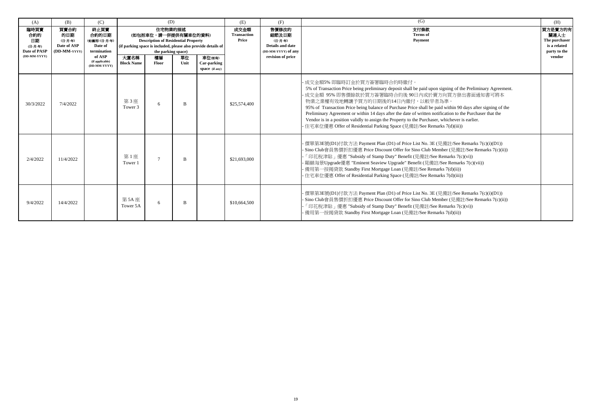| (A)                                                          | (B)                                                   | (C)                                                                                                  |                           | (D)                                                                                                                       |            |                                                                                                          | (E)                                 | (F)                                                                                       | (G)                                                                                                                                                                                                                                                                                                                                                                                                                                                                                                                                                                                                                                    | (H)                                                                        |
|--------------------------------------------------------------|-------------------------------------------------------|------------------------------------------------------------------------------------------------------|---------------------------|---------------------------------------------------------------------------------------------------------------------------|------------|----------------------------------------------------------------------------------------------------------|-------------------------------------|-------------------------------------------------------------------------------------------|----------------------------------------------------------------------------------------------------------------------------------------------------------------------------------------------------------------------------------------------------------------------------------------------------------------------------------------------------------------------------------------------------------------------------------------------------------------------------------------------------------------------------------------------------------------------------------------------------------------------------------------|----------------------------------------------------------------------------|
| 臨時買賣<br>合約的<br>日期<br>(日-月-年)<br>Date of PASP<br>(DD-MM-YYYY) | 買賣合約<br>的日期<br>(日-月-年)<br>Date of ASP<br>(DD-MM-YYYY) | 終止買賣<br>合約的日期<br>(如適用)(日-月-年)<br>Date of<br>termination<br>of ASP<br>(if applicable)<br>(DD-MM-YYYY) | 大廈名稱<br><b>Block Name</b> | 住宅物業的描述<br>(如包括車位,請一併提供有關車位的資料)<br><b>Description of Residential Property</b><br>the parking space)<br>樓層<br><b>Floor</b> | 單位<br>Unit | (if parking space is included, please also provide details of<br>車位(如有)<br>Car-parking<br>space (if any) | 成交金額<br><b>Transaction</b><br>Price | 售價修改的<br>細節及日期<br>(日-月-年)<br>Details and date<br>(DD-MM-YYYY) of any<br>revision of price | 支付條款<br><b>Terms</b> of<br>Payment                                                                                                                                                                                                                                                                                                                                                                                                                                                                                                                                                                                                     | 買方是賣方的有<br>關連人士<br>The purchaser<br>is a related<br>party to the<br>vendor |
| 30/3/2022                                                    | 7/4/2022                                              |                                                                                                      | 第3座<br>Tower 3            | 6                                                                                                                         | B          |                                                                                                          | \$25,574,400                        |                                                                                           | - 成交金額5% 即臨時訂金於買方簽署臨時合約時繳付。<br>5% of Transaction Price being preliminary deposit shall be paid upon signing of the Preliminary Agreement.<br>成交金額 95% 即售價餘款於買方簽署臨時合約後 90日內或於賣方向買方發出書面通知書可將本<br>物業之業權有效地轉讓予買方的日期後的14日內繳付,以較早者為準。<br>95% of Transaction Price being balance of Purchase Price shall be paid within 90 days after signing of the<br>Preliminary Agreement or within 14 days after the date of written notification to the Purchaser that the<br>Vendor is in a position validly to assign the Property to the Purchaser, whichever is earlier.<br>- 住宅車位優惠 Offer of Residential Parking Space (見備註/See Remarks 7(d)(iii)) |                                                                            |
| 2/4/2022                                                     | 11/4/2022                                             |                                                                                                      | 第1座<br>Tower 1            | $\mathcal{I}$                                                                                                             | B          |                                                                                                          | \$21,693,000                        |                                                                                           | - 價單第3E號(D1)付款方法 Payment Plan (D1) of Price List No. 3E (見備註/See Remarks 7(c)(i)(D1))<br>- Sino Club會員售價折扣優惠 Price Discount Offer for Sino Club Member (見備註/See Remarks 7(c)(ii))<br>「印花稅津貼」優惠 "Subsidy of Stamp Duty" Benefit (見備註/See Remarks 7(c)(vi))<br>- 顯赫海景Upgrade優惠 "Eminent Seaview Upgrade" Benefit (見備註/See Remarks 7(c)(vii))<br>- 備用第一按揭貸款 Standby First Mortgage Loan (見備註/See Remarks 7(d)(ii))<br>- 住宅車位優惠 Offer of Residential Parking Space (見備註/See Remarks 7(d)(iii))                                                                                                                                             |                                                                            |
| 9/4/2022                                                     | 14/4/2022                                             |                                                                                                      | 第 5A 座<br>Tower 5A        | 6                                                                                                                         | B          |                                                                                                          | \$10,664,500                        |                                                                                           | - 價單第3E號(D1)付款方法 Payment Plan (D1) of Price List No. 3E (見備註/See Remarks 7(c)(i)(D1))<br>- Sino Club會員售價折扣優惠 Price Discount Offer for Sino Club Member (見備註/See Remarks 7(c)(ii))<br>「印花稅津貼」優惠 "Subsidy of Stamp Duty" Benefit (見備註/See Remarks 7(c)(vi))<br>- 備用第一按揭貸款 Standby First Mortgage Loan (見備註/See Remarks 7(d)(ii))                                                                                                                                                                                                                                                                                                         |                                                                            |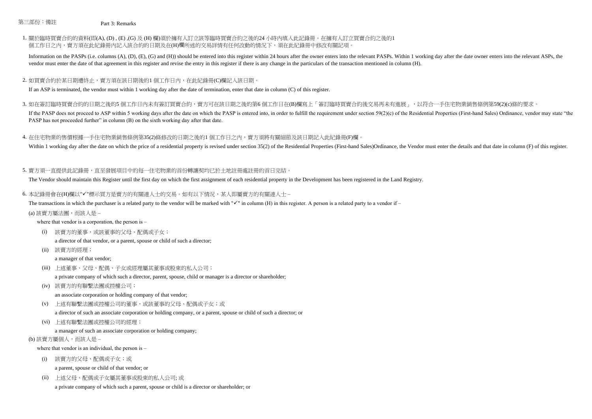## 第三部份:備註 Part 3: Remarks

## 1. 關於臨時買賣合約的資料(即(A), (D) , (E) ,(G) 及 (H) 欄)須於擁有人訂立該等臨時買賣合約之後的24 小時內填入此記錄冊。在擁有人訂立買賣合約之後的1 個工作日之内,賣方須在此紀錄冊内記入該合約的日期及在(H)欄所述的交易詳情有任何改動的情況下,須在此紀錄冊中修改有關記項

Information on the PASPs (i.e. columns (A), (D), (E), (G) and (H)) should be entered into this register within 24 hours after the owner enters into the relevant PASPs. Within 1 working day after the date owner enters into vendor must enter the date of that agreement in this register and revise the entry in this register if there is any change in the particulars of the transaction mentioned in column (H).

#### 2. 如買賣合約於某日期遭終止,賣方須在該日期後的1 個工作日內,在此紀錄冊(C)欄記入該日期

If an ASP is terminated, the vendor must within 1 working day after the date of termination, enter that date in column (C) of this register.

3. 如在簽訂臨時買賣合約的日期之後的5 個工作日內未有簽訂買賣合約,賣方可在該日期之後的第6 個工作日在(B)欄寫上「簽訂臨時買賣合約後交易再未有進展 」,以符合一手住宅物業銷售條例第59(2)(c)條的要求。

If the PASP does not proceed to ASP within 5 working days after the date on which the PASP is entered into, in order to fulfill the requirement under section 59(2)(c) of the Residential Properties (First-hand Sales) Ordina PASP has not proceeded further" in column (B) on the sixth working day after that date.

## 4. 在住宅物業的售價根據一手住宅物業銷售條例第35(2)條修改的日期之後的1 個工作日之內,賣方須將有關細節及該日期記入此紀錄冊(F)欄

Within 1 working day after the date on which the price of a residential property is revised under section 35(2) of the Residential Properties (First-hand Sales)Ordinance, the Vendor must enter the details and that date in

## 5. 賣方須一直提供此記錄冊,直至發展項目中的每一住宅物業的首份轉讓契均已於土地註冊處註冊的首日完結。

The Vendor should maintain this Register until the first day on which the first assignment of each residential property in the Development has been registered in the Land Registry.

6. 本記錄冊會在(H)欄以"√"標示買方是賣方的有關連人士的交易。如有以下情況,某人即屬賣方的有關連人士 –

The transactions in which the purchaser is a related party to the vendor will be marked with " $\checkmark$ " in column (H) in this register. A person is a related party to a vendor if –

#### (a) 該賣方屬法團,而該人是 –

where that vendor is a corporation, the person is –

(i) 該賣方的董事,或該董事的父母、配偶或子女;

a director of that vendor, or a parent, spouse or child of such a director;

(ii) 該賣方的經理;

a manager of that vendor;

- (iii) 上述董事、父母、配偶、子女或經理屬其董事或股東的私人公司; a private company of which such a director, parent, spouse, child or manager is a director or shareholder;
- (iv) 該賣方的有聯繫法團或控權公司;

an associate corporation or holding company of that vendor;

- (v) 上述有聯繫法團或控權公司的董事,或該董事的父母、配偶或子女;或
	- a director of such an associate corporation or holding company, or a parent, spouse or child of such a director; or
- (vi) 上述有聯繫法團或控權公司的經理;
	- a manager of such an associate corporation or holding company;

#### (b) 該賣方屬個人, 而該人是 -

where that vendor is an individual, the person is –

(i) 該賣方的父母、配偶或子女;或

a parent, spouse or child of that vendor; or

(ii) 上述父母、配偶或子女屬其董事或股東的私人公司; 或

a private company of which such a parent, spouse or child is a director or shareholder; or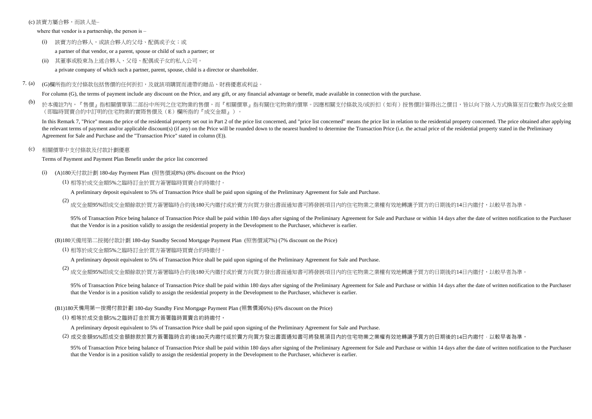#### (c) 該賣方屬合夥,而該人是–

where that vendor is a partnership, the person is –

- (i) 該賣方的合夥人,或該合夥人的父母、配偶或子女;或 a partner of that vendor, or a parent, spouse or child of such a partner; or
- (ii) 其董事或股東為上述合夥人、父母、配偶或子女的私人公司。 a private company of which such a partner, parent, spouse, child is a director or shareholder.
- 7. (a) (G)欄所指的支付條款包括售價的任何折扣,及就該項購買而連帶的贈品、財務優惠或利益。

For column (G), the terms of payment include any discount on the Price, and any gift, or any financial advantage or benefit, made available in connection with the purchase.

(b) 於本備註7內,『售價』指相關價單第二部份中所列之住宅物業的售價,而『相關價單』指有關住宅物業的價單。因應相關支付條款及/或折扣(如有)按售價計算得出之價目,皆以向下捨入方式換算至百位數作為成交金額 (即臨時買賣合約中訂明的住宅物業的實際售價及(E)欄所指的『成交金額』)。

In this Remark 7, "Price" means the price of the residential property set out in Part 2 of the price list concerned, and "price list concerned" means the price list in relation to the residential property concerned. The pr the relevant terms of payment and/or applicable discount(s) (if any) on the Price will be rounded down to the nearest hundred to determine the Transaction Price (i.e. the actual price of the residential property stated in Agreement for Sale and Purchase and the "Transaction Price" stated in column (E)).

## (c) 相關價單中支付條款及付款計劃優惠

Terms of Payment and Payment Plan Benefit under the price list concerned

- (i) (A)180天付款計劃 180-day Payment Plan (照售價減8%) (8% discount on the Price)
	- (1) 相等於成交金額5%之臨時訂金於買方簽署臨時買賣合約時繳付。

A preliminary deposit equivalent to 5% of Transaction Price shall be paid upon signing of the Preliminary Agreement for Sale and Purchase.

(2) 成交金額95%即成交金額餘款於買方簽署臨時合約後180天內繳付或於賣方向買方發出書面通知書可將發展項目內的住宅物業之業權有效地轉讓予買方的日期後的14日內繳付,以較早者為準

95% of Transaction Price being balance of Transaction Price shall be paid within 180 days after signing of the Preliminary Agreement for Sale and Purchase or within 14 days after the date of written notification to the Pur that the Vendor is in a position validly to assign the residential property in the Development to the Purchaser, whichever is earlier.

(B)180天備用第二按揭付款計劃 180-day Standby Second Mortgage Payment Plan (照售價減7%) (7% discount on the Price)

(1) 相等於成交金額5%之臨時訂金於買方簽署臨時買賣合約時繳付。

A preliminary deposit equivalent to 5% of Transaction Price shall be paid upon signing of the Preliminary Agreement for Sale and Purchase.

(2) 成交金額95%即成交金額餘款於買方簽署臨時合約後180天內繳付或於賣方向買方發出書面通知書可將發展項目內的住宅物業之業權有效地轉讓予買方的日期後的14日內繳付,以較早者為準

95% of Transaction Price being balance of Transaction Price shall be paid within 180 days after signing of the Preliminary Agreement for Sale and Purchase or within 14 days after the date of written notification to the Pur that the Vendor is in a position validly to assign the residential property in the Development to the Purchaser, whichever is earlier.

(B1)180天備用第一按揭付款計劃 180-day Standby First Mortgage Payment Plan (照售價減6%) (6% discount on the Price)

(1) 相等於成交金額5%之臨時訂金於買方簽署臨時買賣合約時繳付。

A preliminary deposit equivalent to 5% of Transaction Price shall be paid upon signing of the Preliminary Agreement for Sale and Purchase.

(2) 成交金額95%即成交金額餘款於買方簽署臨時合約後180天內繳付或於賣方向買方發出書面通知書可將發展項目內的住宅物業之業權有效地轉讓予買方的日期後的14日內繳付,以較早者為準。

95% of Transaction Price being balance of Transaction Price shall be paid within 180 days after signing of the Preliminary Agreement for Sale and Purchase or within 14 days after the date of written notification to the Pur that the Vendor is in a position validly to assign the residential property in the Development to the Purchaser, whichever is earlier.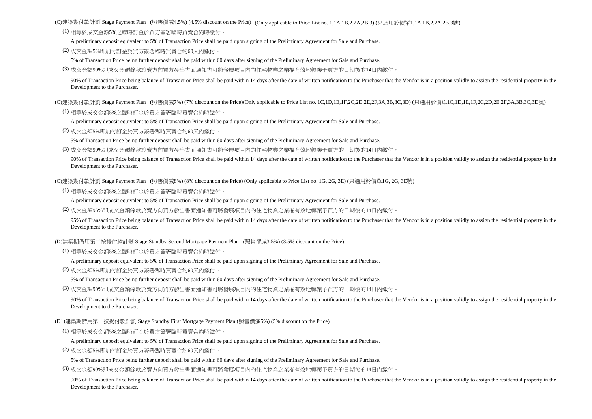(C)建築期付款計劃 Stage Payment Plan (照售價減4.5%) (4.5% discount on the Price) (Only applicable to Price List no. 1,1A,1B,2,2A,2B,3) (只適用於價單1,1A,1B,2,2A,2B,3號)

(1) 相等於成交金額5%之臨時訂金於買方簽署臨時買賣合約時繳付。

A preliminary deposit equivalent to 5% of Transaction Price shall be paid upon signing of the Preliminary Agreement for Sale and Purchase.

(2) 成交金額5%即加付訂金於買方簽署臨時買賣合約60天內繳付。

5% of Transaction Price being further deposit shall be paid within 60 days after signing of the Preliminary Agreement for Sale and Purchase.

(3) 成交金額90%即成交金額餘款於賣方向買方發出書面通知書可將發展項目內的住宅物業之業權有效地轉讓予買方的日期後的14日內繳付。

90% of Transaction Price being balance of Transaction Price shall be paid within 14 days after the date of written notification to the Purchaser that the Vendor is in a position validly to assign the residential property i Development to the Purchaser.

(C)建築期付款計劃 Stage Payment Plan (照售價減7%) (7% discount on the Price)(Only applicable to Price List no. 1C,1D,1E,1F,2C,2D,2E,2F,3A,3B,3C,3D) (只適用於價單1C,1D,1E,1F,2C,2D,2E,2F,3A,3B,3C,3D號)

(1) 相等於成交金額5%之臨時訂金於買方簽署臨時買賣合約時繳付。

A preliminary deposit equivalent to 5% of Transaction Price shall be paid upon signing of the Preliminary Agreement for Sale and Purchase.

(2) 成交金額5%即加付訂金於買方簽署臨時買賣合約60天內繳付。

5% of Transaction Price being further deposit shall be paid within 60 days after signing of the Preliminary Agreement for Sale and Purchase.

(3) 成交金額90%即成交金額餘款於賣方向買方發出書面通知書可將發展項目內的住宅物業之業權有效地轉讓予買方的日期後的14日內繳付。

90% of Transaction Price being balance of Transaction Price shall be paid within 14 days after the date of written notification to the Purchaser that the Vendor is in a position validly to assign the residential property i Development to the Purchaser.

(C)建築期付款計劃 Stage Payment Plan (照售價減8%) (8% discount on the Price) (Only applicable to Price List no. 1G, 2G, 3E) (只適用於價單1G, 2G, 3E號)

(1) 相等於成交金額5%之臨時訂金於買方簽署臨時買賣合約時繳付。

A preliminary deposit equivalent to 5% of Transaction Price shall be paid upon signing of the Preliminary Agreement for Sale and Purchase.

(2) 成交金額95%即成交金額餘款於賣方向買方發出書面通知書可將發展項目內的住宅物業之業權有效地轉讓予買方的日期後的14日內繳付。

95% of Transaction Price being balance of Transaction Price shall be paid within 14 days after the date of written notification to the Purchaser that the Vendor is in a position validly to assign the residential property i Development to the Purchaser.

(D)建築期備用第二按揭付款計劃 Stage Standby Second Mortgage Payment Plan (照售價減3.5%) (3.5% discount on the Price)

(1) 相等於成交金額5%之臨時訂金於買方簽署臨時買賣合約時繳付。

A preliminary deposit equivalent to 5% of Transaction Price shall be paid upon signing of the Preliminary Agreement for Sale and Purchase.

(2) 成交金額5%即加付訂金於買方簽署臨時買賣合約60天內繳付。

5% of Transaction Price being further deposit shall be paid within 60 days after signing of the Preliminary Agreement for Sale and Purchase.

(3) 成交金額90%即成交金額餘款於賣方向買方發出書面通知書可將發展項目內的住宅物業之業權有效地轉讓予買方的日期後的14日內繳付。

90% of Transaction Price being balance of Transaction Price shall be paid within 14 days after the date of written notification to the Purchaser that the Vendor is in a position validly to assign the residential property i Development to the Purchaser.

(D1)建築期備用第一按揭付款計劃 Stage Standby First Mortgage Payment Plan (照售價減5%) (5% discount on the Price)

(1) 相等於成交金額5%之臨時訂金於買方簽署臨時買賣合約時繳付。

A preliminary deposit equivalent to 5% of Transaction Price shall be paid upon signing of the Preliminary Agreement for Sale and Purchase.

(2) 成交金額5%即加付訂金於買方簽署臨時買賣合約60天內繳付。

5% of Transaction Price being further deposit shall be paid within 60 days after signing of the Preliminary Agreement for Sale and Purchase.

(3) 成交金額90%即成交金額餘款於賣方向買方發出書面通知書可將發展項目內的住宅物業之業權有效地轉讓予買方的日期後的14日內繳付。

90% of Transaction Price being balance of Transaction Price shall be paid within 14 days after the date of written notification to the Purchaser that the Vendor is in a position validly to assign the residential property i Development to the Purchaser.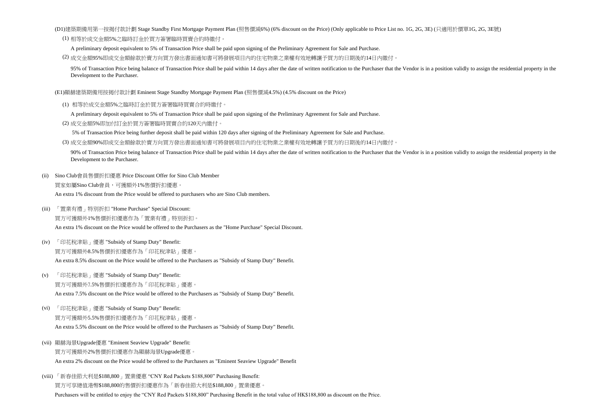(D1)建築期備用第一按揭付款計劃 Stage Standby First Mortgage Payment Plan (照售價減6%) (6% discount on the Price) (Only applicable to Price List no. 1G, 2G, 3E) (只適用於價單1G, 2G, 3E號)

(1) 相等於成交金額5%之臨時訂金於買方簽署臨時買賣合約時繳付。

A preliminary deposit equivalent to 5% of Transaction Price shall be paid upon signing of the Preliminary Agreement for Sale and Purchase.

(2) 成交金額95%即成交金額餘款於賣方向買方發出書面通知書可將發展項目內的住宅物業之業權有效地轉讓予買方的日期後的14日內繳付。

95% of Transaction Price being balance of Transaction Price shall be paid within 14 days after the date of written notification to the Purchaser that the Vendor is in a position validly to assign the residential property i Development to the Purchaser.

(E1)顯赫建築期備用按揭付款計劃 Eminent Stage Standby Mortgage Payment Plan (照售價減4.5%) (4.5% discount on the Price)

- (1) 相等於成交金額5%之臨時訂金於買方簽署臨時買賣合約時繳付。
	- A preliminary deposit equivalent to 5% of Transaction Price shall be paid upon signing of the Preliminary Agreement for Sale and Purchase.
- (2) 成交金額5%即加付訂金於買方簽署臨時買賣合約120天內繳付。

5% of Transaction Price being further deposit shall be paid within 120 days after signing of the Preliminary Agreement for Sale and Purchase.

(3) 成交金額90%即成交金額餘款於賣方向買方發出書面通知書可將發展項目內的住宅物業之業權有效地轉讓予買方的日期後的14日內繳付。

90% of Transaction Price being balance of Transaction Price shall be paid within 14 days after the date of written notification to the Purchaser that the Vendor is in a position validly to assign the residential property i Development to the Purchaser.

- (ii) 買家如屬Sino Club會員,可獲額外1%售價折扣優惠。 An extra 1% discount from the Price would be offered to purchasers who are Sino Club members. Sino Club會員售價折扣優惠 Price Discount Offer for Sino Club Member
- (iii) 「置業有禮」特別折扣 "Home Purchase" Special Discount: 買方可獲額外1%售價折扣優惠作為「置業有禮」特別折扣。 An extra 1% discount on the Price would be offered to the Purchasers as the "Home Purchase" Special Discount.
- (iv) 「印花稅津貼」優惠 "Subsidy of Stamp Duty" Benefit: 買方可獲額外8.5%售價折扣優惠作為「印花稅津貼」優惠。 An extra 8.5% discount on the Price would be offered to the Purchasers as "Subsidy of Stamp Duty" Benefit.
- (v) 「印花稅津貼」優惠 "Subsidy of Stamp Duty" Benefit: 買方可獲額外7.5%售價折扣優惠作為「印花稅津貼」優惠。 An extra 7.5% discount on the Price would be offered to the Purchasers as "Subsidy of Stamp Duty" Benefit.
- (vi) 「印花稅津貼」優惠 "Subsidy of Stamp Duty" Benefit: 買方可獲額外5.5%售價折扣優惠作為「印花稅津貼」優惠。 An extra 5.5% discount on the Price would be offered to the Purchasers as "Subsidy of Stamp Duty" Benefit.
- (vii) 顯赫海景Upgrade優惠 "Eminent Seaview Upgrade" Benefit: 買方可獲額外2%售價折扣優惠作為顯赫海景Upgrade優惠。 An extra 2% discount on the Price would be offered to the Purchasers as "Eminent Seaview Upgrade" Benefit
- (viii) 「新春佳節大利是\$188,800」置業優惠 "CNY Red Packets \$188,800" Purchasing Benefit: 買方可享總值港幣\$188,800的售價折扣優惠作為「新春佳節大利是\$188,800」置業優惠。

Purchasers will be entitled to enjoy the "CNY Red Packets \$188,800" Purchasing Benefit in the total value of HK\$188,800 as discount on the Price.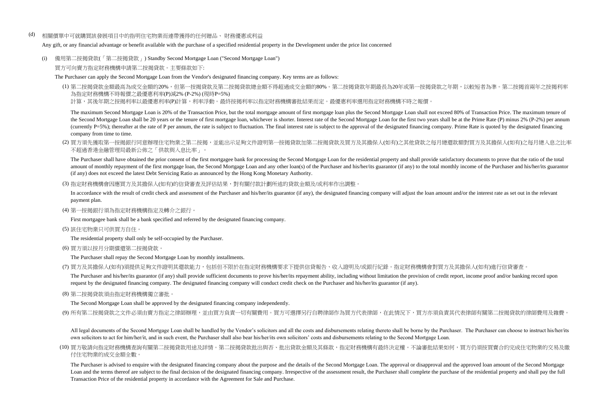(d) 相關價單中可就購買該發展項目中的指明住宅物業而連帶獲得的任何贈品、 財務優惠或利益

Any gift, or any financial advantage or benefit available with the purchase of a specified residential property in the Development under the price list concerned

(i) 備用第二按揭貸款(「第二按揭貸款」) Standby Second Mortgage Loan ("Second Mortgage Loan") 買方可向賣方指定財務機構申請第二按揭貸款。主要條款如下:

The Purchaser can apply the Second Mortgage Loan from the Vendor's designated financing company. Key terms are as follows:

(1) 第二按揭貸款金額最高為成交金額的20%,但第一按揭貸款及第二按揭貸款總金額不得超過成交金額的80%。第二按揭貸款年期最長為20年或第一按揭貸款之年期,以較短者為準。第二按揭首兩年之按揭利率 為指定財務機構不時報價之最優惠利率(P)減2% (P-2%) (現時P=5%)

計算,其後年期之按揭利率以最優惠利率(P)計算,利率浮動。最終按揭利率以指定財務機構審批結果而定。最優惠利率選用指定財務機構不時之報價

The maximum Second Mortgage Loan is 20% of the Transaction Price, but the total mortgage amount of first mortgage loan plus the Second Mortgage Loan shall not exceed 80% of Transaction Price. The maximum tenure of the Second Mortgage Loan shall be 20 years or the tenure of first mortgage loan, whichever is shorter. Interest rate of the Second Mortgage Loan for the first two years shall be at the Prime Rate (P) minus 2% (P-2%) per an (currently P=5%); thereafter at the rate of P per annum, the rate is subject to fluctuation. The final interest rate is subject to the approval of the designated financing company. Prime Rate is quoted by the designated fi company from time to time.

(2) 買方須先獲取第一按揭銀行同意辦理住宅物業之第二按揭,並能出示足夠文件證明第一按揭貸款加第二按揭貸款及買方及其擔保人(如有)之其他貸款之每月總還款額對買方及其擔保人(如有)之每月總入息之比率 不超過香港金融管理局最新公佈之「供款與入息比率」。

The Purchaser shall have obtained the prior consent of the first mortgagee bank for processing the Second Mortgage Loan for the residential property and shall provide satisfactory documents to prove that the ratio of the t amount of monthly repayment of the first mortgage loan, the Second Mortgage Loan and any other loan(s) of the Purchaser and his/her/its guarantor (if any) to the total monthly income of the Purchaser and his/her/its guaran (if any) does not exceed the latest Debt Servicing Ratio as announced by the Hong Kong Monetary Authority.

(3) 指定財務機構會因應買方及其擔保人(如有)的信貸審查及評估結果,對有關付款計劃所述的貸款金額及/或利率作出調整。

In accordance with the result of credit check and assessment of the Purchaser and his/her/its guarantor (if any), the designated financing company will adjust the loan amount and/or the interest rate as set out in the rele payment plan.

(4) 第一按揭銀行須為指定財務機構指定及轉介之銀行。

First mortgagee bank shall be a bank specified and referred by the designated financing company.

(5) 該住宅物業只可供買方自住。

The residential property shall only be self-occupied by the Purchaser.

(6) 買方須以按月分期償還第二按揭貸款。

The Purchaser shall repay the Second Mortgage Loan by monthly installments.

(7) 買方及其擔保人(如有)須提供足夠文件證明其還款能力,包括但不限於在指定財務機構要求下提供信貸報告、收入證明及/或銀行紀錄。指定財務機構會對買方及其擔保人(如有)進行信貸審查。

The Purchaser and his/her/its guarantor (if any) shall provide sufficient documents to prove his/her/its repayment ability, including without limitation the provision of credit report, income proof and/or banking record up request by the designated financing company. The designated financing company will conduct credit check on the Purchaser and his/her/its guarantor (if any).

(8) 第二按揭貸款須由指定財務機構獨立審批。

The Second Mortgage Loan shall be approved by the designated financing company independently.

(9) 所有第二按揭貸款之文件必須由賣方指定之律師辦理,並由買方負責一切有關費用。買方可選擇另行自聘律師作為買方代表律師,在此情況下,買方亦須負責其代表律師有關第二按揭貸款的律師費用及雜費。

All legal documents of the Second Mortgage Loan shall be handled by the Vendor's solicitors and all the costs and disbursements relating thereto shall be borne by the Purchaser. The Purchaser can choose to instruct his/her own solicitors to act for him/her/it, and in such event, the Purchaser shall also bear his/her/its own solicitors' costs and disbursements relating to the Second Mortgage Loan.

(10) 買方敬請向指定財務機構查詢有關第二按揭貸款用途及詳情。第二按揭貸款批出與否、批出貸款金額及其條款,指定財務機構有最終決定權。不論審批結果如何,買方仍須按買賣合約完成住宅物業的交易及繳 付住宅物業的成交金額全數。

The Purchaser is advised to enquire with the designated financing company about the purpose and the details of the Second Mortgage Loan. The approval or disapproval and the approved loan amount of the Second Mortgage Loan and the terms thereof are subject to the final decision of the designated financing company. Irrespective of the assessment result, the Purchaser shall complete the purchase of the residential property and shall pay t Transaction Price of the residential property in accordance with the Agreement for Sale and Purchase.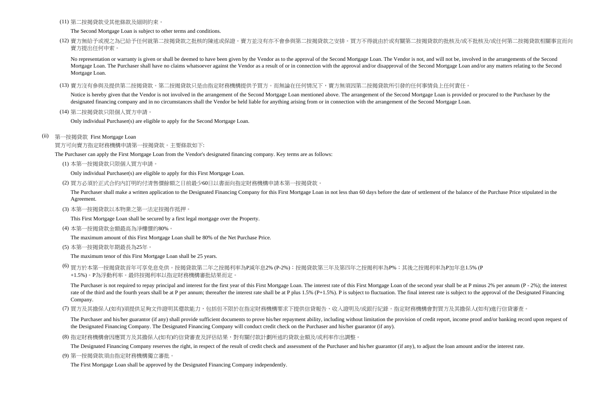(11) 第二按揭貸款受其他條款及細則約束。

The Second Mortgage Loan is subject to other terms and conditions.

(12) 賣方無給予或視之為已給予任何就第二按揭貸款之批核的陳述或保證。賣方並沒有亦不會參與第二按揭貸款之安排。買方不得就由於或有關第二按揭貸款的批核及/或不批核及/或任何第二按揭貸款相關事宜而向 賣方提出任何申索。

No representation or warranty is given or shall be deemed to have been given by the Vendor as to the approval of the Second Mortgage Loan. The Vendor is not, and will not be, involved in the arrangements of the Second Mortgage Loan. The Purchaser shall have no claims whatsoever against the Vendor as a result of or in connection with the approval and/or disapproval of the Second Mortgage Loan and/or any matters relating to the Second Mortgage Loan.

(13) 賣方沒有參與及提供第二按揭貸款。第二按揭貸款只是由指定財務機構提供予買方。而無論在任何情況下,賣方無須因第二按揭貸款所引發的任何事情負上任何責任。

Notice is hereby given that the Vendor is not involved in the arrangement of the Second Mortgage Loan mentioned above. The arrangement of the Second Mortgage Loan is provided or procured to the Purchaser by the designated financing company and in no circumstances shall the Vendor be held liable for anything arising from or in connection with the arrangement of the Second Mortgage Loan.

(14) 第二按揭貸款只限個人買方申請。

Only individual Purchaser(s) are eligible to apply for the Second Mortgage Loan.

(ii) 第一按揭貸款 First Mortgage Loan

買方可向賣方指定財務機構申請第一按揭貸款。主要條款如下:

The Purchaser can apply the First Mortgage Loan from the Vendor's designated financing company. Key terms are as follows:

(1) 本第一按揭貸款只限個人買方申請。

Only individual Purchaser(s) are eligible to apply for this First Mortgage Loan.

(2) 買方必須於正式合約內訂明的付清售價餘額之日前最少60日以書面向指定財務機構申請本第一按揭貸款。

The Purchaser shall make a written application to the Designated Financing Company for this First Mortgage Loan in not less than 60 days before the date of settlement of the balance of the Purchase Price stipulated in the Agreement.

(3) 本第一按揭貸款以本物業之第一法定按揭作抵押。

This First Mortgage Loan shall be secured by a first legal mortgage over the Property.

(4) 本第一按揭貸款金額最高為淨樓價的80%。

The maximum amount of this First Mortgage Loan shall be 80% of the Net Purchase Price.

(5) 本第一按揭貸款年期最長為25年。

The maximum tenor of this First Mortgage Loan shall be 25 years.

(6) 買方於本第一按揭貸款首年可享免息免供。按揭貸款第二年之按揭利率為P減年息2% (P-2%);按揭貸款第三年及第四年之按揭利率為P%;其後之按揭利率為P加年息1.5% (P +1.5%)。P為浮動利率。最終按揭利率以指定財務機構審批結果而定。

The Purchaser is not required to repay principal and interest for the first year of this First Mortgage Loan. The interest rate of this First Mortgage Loan of the second year shall be at P minus 2% per annum (P - 2%); the rate of the third and the fourth years shall be at P per annum; thereafter the interest rate shall be at P plus 1.5% (P+1.5%). P is subject to fluctuation. The final interest rate is subject to the approval of the Designat Company.

(7) 買方及其擔保人(如有)須提供足夠文件證明其還款能力,包括但不限於在指定財務機構要求下提供信貸報告、收入證明及/或銀行紀錄。指定財務機構會對買方及其擔保人(如有)進行信貸審查。

The Purchaser and his/her guarantor (if any) shall provide sufficient documents to prove his/her repayment ability, including without limitation the provision of credit report, income proof and/or banking record upon reque the Designated Financing Company. The Designated Financing Company will conduct credit check on the Purchaser and his/her guarantor (if any).

(8) 指定財務機構會因應買方及其擔保人(如有)的信貸審查及評估結果,對有關付款計劃所述的貸款金額及/或利率作出調整。

The Designated Financing Company reserves the right, in respect of the result of credit check and assessment of the Purchaser and his/her guarantor (if any), to adjust the loan amount and/or the interest rate.

(9) 第一按揭貸款須由指定財務機構獨立審批。

The First Mortgage Loan shall be approved by the Designated Financing Company independently.